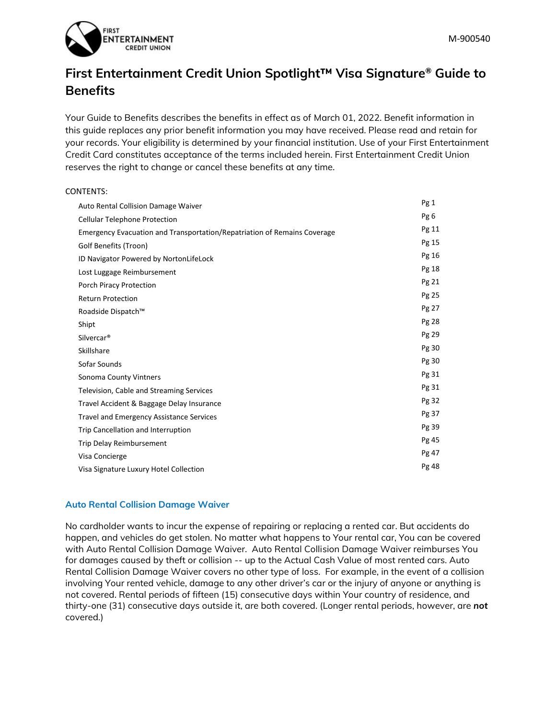

# **First Entertainment Credit Union Spotlight™ Visa Signature® Guide to Benefits**

Your Guide to Benefits describes the benefits in effect as of March 01, 2022. Benefit information in this guide replaces any prior benefit information you may have received. Please read and retain for your records. Your eligibility is determined by your financial institution. Use of your First Entertainment Credit Card constitutes acceptance of the terms included herein. First Entertainment Credit Union reserves the right to change or cancel these benefits at any time.

# CONTENTS: Auto Rental Collision Damage Waiver **Pg 1** Cellular Telephone Protection **Pg 6** Emergency Evacuation and Transportation/Repatriation of Remains Coverage Pg 11 Golf Benefits (Troon) Pg 15 ID Navigator Powered by NortonLifeLock **Pg 16** Pg 16 Lost Luggage Reimbursement **Pg** 18 Porch Piracy Protection **Pg 21** Return Protection **Protection** Pg 25 Roadside Dispatch™ Pg 27 Shipt Pg 28 Silvercar® Pg 29 Skillshare Pg 30 Sofar Sounds Pg 30 Sonoma County Vintners **Pg 31** Television, Cable and Streaming Services **Pg 31** Travel Accident & Baggage Delay Insurance **Pg 32** Pg 32 Travel and Emergency Assistance Services **Pg 37** Pg 37 Trip Cancellation and Interruption **Pg** 39 Trip Delay Reimbursement **Pg 45** Visa Concierge **Pg 47** Visa Signature Luxury Hotel Collection **Pg 48** Pg 48

# **Auto Rental Collision Damage Waiver**

No cardholder wants to incur the expense of repairing or replacing a rented car. But accidents do happen, and vehicles do get stolen. No matter what happens to Your rental car, You can be covered with Auto Rental Collision Damage Waiver. Auto Rental Collision Damage Waiver reimburses You for damages caused by theft or collision -- up to the Actual Cash Value of most rented cars. Auto Rental Collision Damage Waiver covers no other type of loss. For example, in the event of a collision involving Your rented vehicle, damage to any other driver's car or the injury of anyone or anything is not covered. Rental periods of fifteen (15) consecutive days within Your country of residence, and thirty-one (31) consecutive days outside it, are both covered. (Longer rental periods, however, are *not* covered.)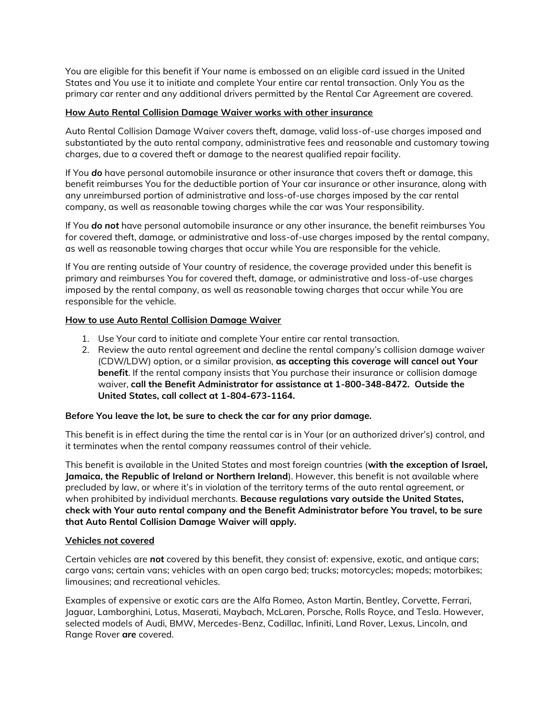You are eligible for this benefit if Your name is embossed on an eligible card issued in the United States and You use it to initiate and complete Your entire car rental transaction. Only You as the primary car renter and any additional drivers permitted by the Rental Car Agreement are covered.

# **How Auto Rental Collision Damage Waiver works with other insurance**

Auto Rental Collision Damage Waiver covers theft, damage, valid loss-of-use charges imposed and substantiated by the auto rental company, administrative fees and reasonable and customary towing charges, due to a covered theft or damage to the nearest qualified repair facility.

If You *do* have personal automobile insurance or other insurance that covers theft or damage, this benefit reimburses You for the deductible portion of Your car insurance or other insurance, along with any unreimbursed portion of administrative and loss-of-use charges imposed by the car rental company, as well as reasonable towing charges while the car was Your responsibility.

If You *do not* have personal automobile insurance or any other insurance, the benefit reimburses You for covered theft, damage, or administrative and loss-of-use charges imposed by the rental company, as well as reasonable towing charges that occur while You are responsible for the vehicle.

If You are renting outside of Your country of residence, the coverage provided under this benefit is primary and reimburses You for covered theft, damage, or administrative and loss-of-use charges imposed by the rental company, as well as reasonable towing charges that occur while You are responsible for the vehicle.

# **How to use Auto Rental Collision Damage Waiver**

- 1. Use Your card to initiate and complete Your entire car rental transaction.
- 2. Review the auto rental agreement and decline the rental company's collision damage waiver (CDW/LDW) option, or a similar provision, **as accepting this coverage will cancel out Your benefit**. If the rental company insists that You purchase their insurance or collision damage waiver, **call the Benefit Administrator for assistance at 1-800-348-8472. Outside the United States, call collect at 1-804-673-1164.**

# **Before You leave the lot, be sure to check the car for any prior damage.**

This benefit is in effect during the time the rental car is in Your (or an authorized driver's) control, and it terminates when the rental company reassumes control of their vehicle.

This benefit is available in the United States and most foreign countries (**with the exception of Israel, Jamaica, the Republic of Ireland or Northern Ireland**). However, this benefit is not available where precluded by law, or where it's in violation of the territory terms of the auto rental agreement, or when prohibited by individual merchants. **Because regulations vary outside the United States, check with Your auto rental company and the Benefit Administrator before You travel, to be sure that Auto Rental Collision Damage Waiver will apply.**

# **Vehicles** *not* **covered**

Certain vehicles are *not* covered by this benefit, they consist of: expensive, exotic, and antique cars; cargo vans; certain vans; vehicles with an open cargo bed; trucks; motorcycles; mopeds; motorbikes; limousines; and recreational vehicles.

Examples of expensive or exotic cars are the Alfa Romeo, Aston Martin, Bentley, Corvette, Ferrari, Jaguar, Lamborghini, Lotus, Maserati, Maybach, McLaren, Porsche, Rolls Royce, and Tesla. However, selected models of Audi, BMW, Mercedes-Benz, Cadillac, Infiniti, Land Rover, Lexus, Lincoln, and Range Rover *are* covered.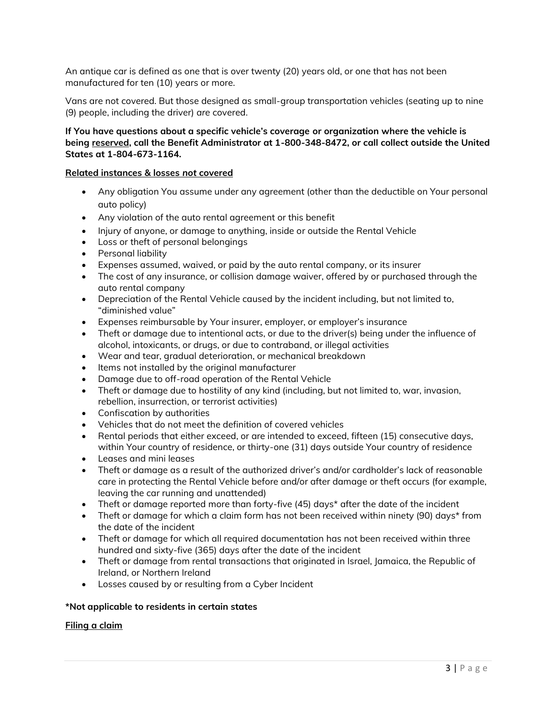An antique car is defined as one that is over twenty (20) years old, or one that has not been manufactured for ten (10) years or more.

Vans are not covered. But those designed as small-group transportation vehicles (seating up to nine (9) people, including the driver) *are* covered.

### **If You have questions about a specific vehicle's coverage or organization where the vehicle is being reserved, call the Benefit Administrator at 1-800-348-8472, or call collect outside the United States at 1-804-673-1164.**

### **Related instances & losses** *not* **covered**

- Any obligation You assume under any agreement (other than the deductible on Your personal auto policy)
- Any violation of the auto rental agreement or this benefit
- Injury of anyone, or damage to anything, inside or outside the Rental Vehicle
- Loss or theft of personal belongings
- Personal liability
- Expenses assumed, waived, or paid by the auto rental company, or its insurer
- The cost of any insurance, or collision damage waiver, offered by or purchased through the auto rental company
- Depreciation of the Rental Vehicle caused by the incident including, but not limited to, "diminished value"
- Expenses reimbursable by Your insurer, employer, or employer's insurance
- Theft or damage due to intentional acts, or due to the driver(s) being under the influence of alcohol, intoxicants, or drugs, or due to contraband, or illegal activities
- Wear and tear, gradual deterioration, or mechanical breakdown
- Items not installed by the original manufacturer
- Damage due to off-road operation of the Rental Vehicle
- Theft or damage due to hostility of any kind (including, but not limited to, war, invasion, rebellion, insurrection, or terrorist activities)
- Confiscation by authorities
- Vehicles that do not meet the definition of covered vehicles
- Rental periods that either exceed, or are intended to exceed, fifteen (15) consecutive days, within Your country of residence, or thirty-one (31) days outside Your country of residence
- Leases and mini leases
- Theft or damage as a result of the authorized driver's and/or cardholder's lack of reasonable care in protecting the Rental Vehicle before and/or after damage or theft occurs (for example, leaving the car running and unattended)
- Theft or damage reported more than forty-five (45) days\* after the date of the incident
- Theft or damage for which a claim form has not been received within ninety (90) days\* from the date of the incident
- Theft or damage for which all required documentation has not been received within three hundred and sixty-five (365) days after the date of the incident
- Theft or damage from rental transactions that originated in Israel, Jamaica, the Republic of Ireland, or Northern Ireland
- Losses caused by or resulting from a Cyber Incident

#### **\*Not applicable to residents in certain states**

#### **Filing a claim**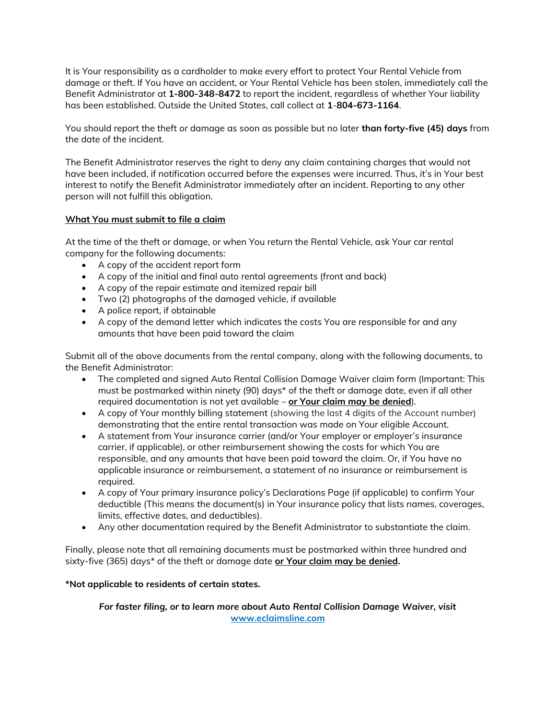It is Your responsibility as a cardholder to make every effort to protect Your Rental Vehicle from damage or theft. If You have an accident, or Your Rental Vehicle has been stolen, immediately call the Benefit Administrator at **1-800-348-8472** to report the incident, regardless of whether Your liability has been established. Outside the United States, call collect at **1**-**804-673-1164**.

You should report the theft or damage as soon as possible but no later **than forty-five (45) days** from the date of the incident.

The Benefit Administrator reserves the right to deny any claim containing charges that would not have been included, if notification occurred before the expenses were incurred. Thus, it's in Your best interest to notify the Benefit Administrator immediately after an incident. Reporting to any other person will not fulfill this obligation.

# **What You must submit to file a claim**

At the time of the theft or damage, or when You return the Rental Vehicle, ask Your car rental company for the following documents:

- A copy of the accident report form
- A copy of the initial and final auto rental agreements (front and back)
- A copy of the repair estimate and itemized repair bill
- Two (2) photographs of the damaged vehicle, if available
- A police report, if obtainable
- A copy of the demand letter which indicates the costs You are responsible for and any amounts that have been paid toward the claim

Submit all of the above documents from the rental company, along with the following documents, to the Benefit Administrator:

- The completed and signed Auto Rental Collision Damage Waiver claim form (Important: This must be postmarked within ninety (90) days\* of the theft or damage date, even if all other required documentation is not yet available – **or Your claim may be denied**).
- A copy of Your monthly billing statement (showing the last 4 digits of the Account number) demonstrating that the entire rental transaction was made on Your eligible Account.
- A statement from Your insurance carrier (and/or Your employer or employer's insurance carrier, if applicable), or other reimbursement showing the costs for which You are responsible, and any amounts that have been paid toward the claim. Or, if You have no applicable insurance or reimbursement, a statement of no insurance or reimbursement is required.
- A copy of Your primary insurance policy's Declarations Page (if applicable) to confirm Your deductible (This means the document(s) in Your insurance policy that lists names, coverages, limits, effective dates, and deductibles).
- Any other documentation required by the Benefit Administrator to substantiate the claim.

Finally, please note that all remaining documents must be postmarked within three hundred and sixty-five (365) days\* of the theft or damage date **or Your claim may be denied.**

# **\*Not applicable to residents of certain states.**

*For faster filing, or to learn more about Auto Rental Collision Damage Waiver, visit*  **[www.eclaimsline.com](http://www.eclaimsline.com/)**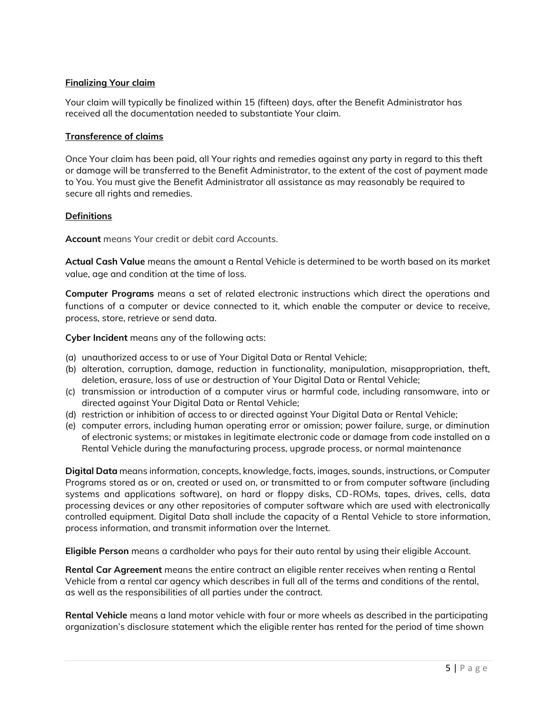# **Finalizing Your claim**

Your claim will typically be finalized within 15 (fifteen) days, after the Benefit Administrator has received all the documentation needed to substantiate Your claim.

### **Transference of claims**

Once Your claim has been paid, all Your rights and remedies against any party in regard to this theft or damage will be transferred to the Benefit Administrator, to the extent of the cost of payment made to You. You must give the Benefit Administrator all assistance as may reasonably be required to secure all rights and remedies.

# **Definitions**

**Account** means Your credit or debit card Accounts.

**Actual Cash Value** means the amount a Rental Vehicle is determined to be worth based on its market value, age and condition at the time of loss.

**Computer Programs** means a set of related electronic instructions which direct the operations and functions of a computer or device connected to it, which enable the computer or device to receive, process, store, retrieve or send data.

**Cyber Incident** means any of the following acts:

- (a) unauthorized access to or use of Your Digital Data or Rental Vehicle;
- (b) alteration, corruption, damage, reduction in functionality, manipulation, misappropriation, theft, deletion, erasure, loss of use or destruction of Your Digital Data or Rental Vehicle;
- (c) transmission or introduction of a computer virus or harmful code, including ransomware, into or directed against Your Digital Data or Rental Vehicle;
- (d) restriction or inhibition of access to or directed against Your Digital Data or Rental Vehicle;
- (e) computer errors, including human operating error or omission; power failure, surge, or diminution of electronic systems; or mistakes in legitimate electronic code or damage from code installed on a Rental Vehicle during the manufacturing process, upgrade process, or normal maintenance

**Digital Data** means information, concepts, knowledge, facts, images, sounds, instructions, or Computer Programs stored as or on, created or used on, or transmitted to or from computer software (including systems and applications software), on hard or floppy disks, CD-ROMs, tapes, drives, cells, data processing devices or any other repositories of computer software which are used with electronically controlled equipment. Digital Data shall include the capacity of a Rental Vehicle to store information, process information, and transmit information over the Internet.

**Eligible Person** means a cardholder who pays for their auto rental by using their eligible Account.

**Rental Car Agreement** means the entire contract an eligible renter receives when renting a Rental Vehicle from a rental car agency which describes in full all of the terms and conditions of the rental, as well as the responsibilities of all parties under the contract.

**Rental Vehicle** means a land motor vehicle with four or more wheels as described in the participating organization's disclosure statement which the eligible renter has rented for the period of time shown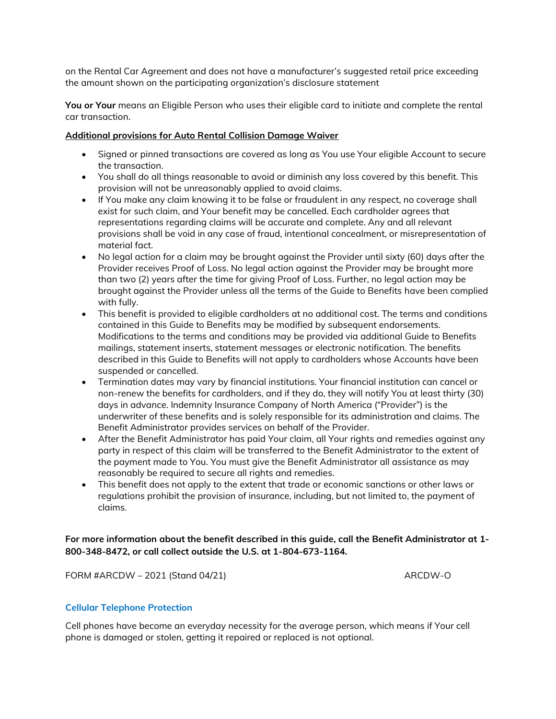on the Rental Car Agreement and does not have a manufacturer's suggested retail price exceeding the amount shown on the participating organization's disclosure statement

**You or Your** means an Eligible Person who uses their eligible card to initiate and complete the rental car transaction.

### **Additional provisions for Auto Rental Collision Damage Waiver**

- Signed or pinned transactions are covered as long as You use Your eligible Account to secure the transaction.
- You shall do all things reasonable to avoid or diminish any loss covered by this benefit. This provision will not be unreasonably applied to avoid claims.
- If You make any claim knowing it to be false or fraudulent in any respect, no coverage shall exist for such claim, and Your benefit may be cancelled. Each cardholder agrees that representations regarding claims will be accurate and complete. Any and all relevant provisions shall be void in any case of fraud, intentional concealment, or misrepresentation of material fact.
- No legal action for a claim may be brought against the Provider until sixty (60) days after the Provider receives Proof of Loss. No legal action against the Provider may be brought more than two (2) years after the time for giving Proof of Loss. Further, no legal action may be brought against the Provider unless all the terms of the Guide to Benefits have been complied with fully.
- This benefit is provided to eligible cardholders at no additional cost. The terms and conditions contained in this Guide to Benefits may be modified by subsequent endorsements. Modifications to the terms and conditions may be provided via additional Guide to Benefits mailings, statement inserts, statement messages or electronic notification. The benefits described in this Guide to Benefits will not apply to cardholders whose Accounts have been suspended or cancelled.
- Termination dates may vary by financial institutions. Your financial institution can cancel or non-renew the benefits for cardholders, and if they do, they will notify You at least thirty (30) days in advance. Indemnity Insurance Company of North America ("Provider") is the underwriter of these benefits and is solely responsible for its administration and claims. The Benefit Administrator provides services on behalf of the Provider.
- After the Benefit Administrator has paid Your claim, all Your rights and remedies against any party in respect of this claim will be transferred to the Benefit Administrator to the extent of the payment made to You. You must give the Benefit Administrator all assistance as may reasonably be required to secure all rights and remedies.
- This benefit does not apply to the extent that trade or economic sanctions or other laws or regulations prohibit the provision of insurance, including, but not limited to, the payment of claims.

# **For more information about the benefit described in this guide, call the Benefit Administrator at 1- 800-348-8472, or call collect outside the U.S. at 1-804-673-1164.**

FORM #ARCDW – 2021 (Stand 04/21) ARCDW-O

# **Cellular Telephone Protection**

Cell phones have become an everyday necessity for the average person, which means if Your cell phone is damaged or stolen, getting it repaired or replaced is not optional.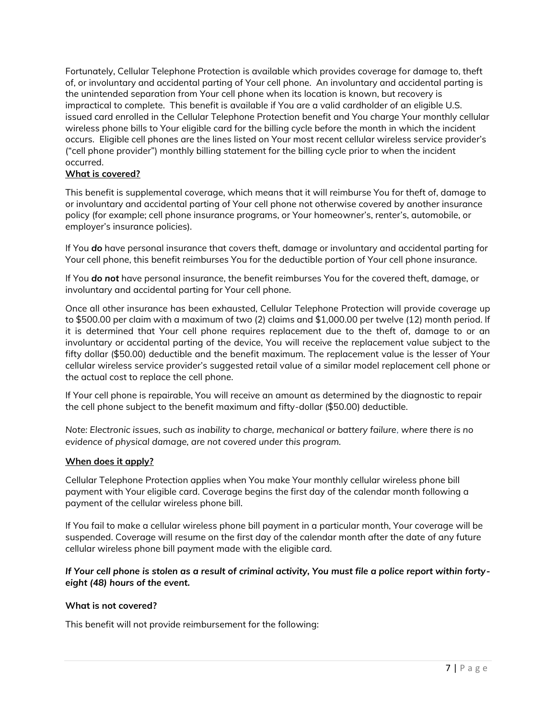Fortunately, Cellular Telephone Protection is available which provides coverage for damage to, theft of, or involuntary and accidental parting of Your cell phone. An involuntary and accidental parting is the unintended separation from Your cell phone when its location is known, but recovery is impractical to complete. This benefit is available if You are a valid cardholder of an eligible U.S. issued card enrolled in the Cellular Telephone Protection benefit and You charge Your monthly cellular wireless phone bills to Your eligible card for the billing cycle before the month in which the incident occurs. Eligible cell phones are the lines listed on Your most recent cellular wireless service provider's ("cell phone provider") monthly billing statement for the billing cycle prior to when the incident occurred.

# **What is covered?**

This benefit is supplemental coverage, which means that it will reimburse You for theft of, damage to or involuntary and accidental parting of Your cell phone not otherwise covered by another insurance policy (for example; cell phone insurance programs, or Your homeowner's, renter's, automobile, or employer's insurance policies).

If You *do* have personal insurance that covers theft, damage or involuntary and accidental parting for Your cell phone, this benefit reimburses You for the deductible portion of Your cell phone insurance.

If You *do not* have personal insurance, the benefit reimburses You for the covered theft, damage, or involuntary and accidental parting for Your cell phone.

Once all other insurance has been exhausted, Cellular Telephone Protection will provide coverage up to \$500.00 per claim with a maximum of two (2) claims and \$1,000.00 per twelve (12) month period. If it is determined that Your cell phone requires replacement due to the theft of, damage to or an involuntary or accidental parting of the device, You will receive the replacement value subject to the fifty dollar (\$50.00) deductible and the benefit maximum. The replacement value is the lesser of Your cellular wireless service provider's suggested retail value of a similar model replacement cell phone or the actual cost to replace the cell phone.

If Your cell phone is repairable, You will receive an amount as determined by the diagnostic to repair the cell phone subject to the benefit maximum and fifty-dollar (\$50.00) deductible.

*Note: Electronic issues, such as inability to charge, mechanical or battery failure, where there is no evidence of physical damage, are not covered under this program.*

# **When does it apply?**

Cellular Telephone Protection applies when You make Your monthly cellular wireless phone bill payment with Your eligible card. Coverage begins the first day of the calendar month following a payment of the cellular wireless phone bill.

If You fail to make a cellular wireless phone bill payment in a particular month, Your coverage will be suspended. Coverage will resume on the first day of the calendar month after the date of any future cellular wireless phone bill payment made with the eligible card.

*If Your cell phone is stolen as a result of criminal activity, You must file a police report within fortyeight (48) hours of the event.*

#### **What is not covered?**

This benefit will not provide reimbursement for the following: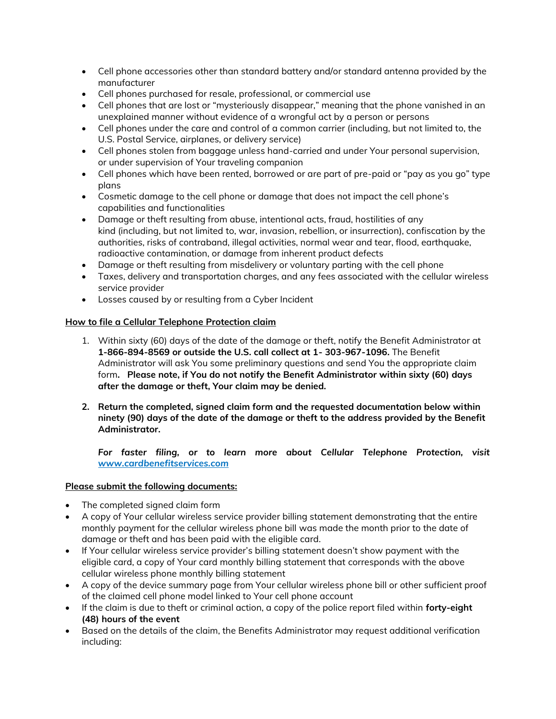- Cell phone accessories other than standard battery and/or standard antenna provided by the manufacturer
- Cell phones purchased for resale, professional, or commercial use
- Cell phones that are lost or "mysteriously disappear," meaning that the phone vanished in an unexplained manner without evidence of a wrongful act by a person or persons
- Cell phones under the care and control of a common carrier (including, but not limited to, the U.S. Postal Service, airplanes, or delivery service)
- Cell phones stolen from baggage unless hand-carried and under Your personal supervision, or under supervision of Your traveling companion
- Cell phones which have been rented, borrowed or are part of pre-paid or "pay as you go" type plans
- Cosmetic damage to the cell phone or damage that does not impact the cell phone's capabilities and functionalities
- Damage or theft resulting from abuse, intentional acts, fraud, hostilities of any kind (including, but not limited to, war, invasion, rebellion, or insurrection), confiscation by the authorities, risks of contraband, illegal activities, normal wear and tear, flood, earthquake, radioactive contamination, or damage from inherent product defects
- Damage or theft resulting from misdelivery or voluntary parting with the cell phone
- Taxes, delivery and transportation charges, and any fees associated with the cellular wireless service provider
- Losses caused by or resulting from a Cyber Incident

# **How to file a Cellular Telephone Protection claim**

- 1. Within sixty (60) days of the date of the damage or theft, notify the Benefit Administrator at **1-866-894-8569 or outside the U.S. call collect at 1- 303-967-1096.** The Benefit Administrator will ask You some preliminary questions and send You the appropriate claim form**. Please note, if You do not notify the Benefit Administrator within sixty (60) days after the damage or theft, Your claim may be denied.**
- **2. Return the completed, signed claim form and the requested documentation below within ninety (90) days of the date of the damage or theft to the address provided by the Benefit Administrator.**

*For faster filing, or to learn more about Cellular Telephone Protection, visit [www.cardbenefitservices.com](http://www.cardbenefitservices.com/)*

# **Please submit the following documents:**

- The completed signed claim form
- A copy of Your cellular wireless service provider billing statement demonstrating that the entire monthly payment for the cellular wireless phone bill was made the month prior to the date of damage or theft and has been paid with the eligible card.
- If Your cellular wireless service provider's billing statement doesn't show payment with the eligible card, a copy of Your card monthly billing statement that corresponds with the above cellular wireless phone monthly billing statement
- A copy of the device summary page from Your cellular wireless phone bill or other sufficient proof of the claimed cell phone model linked to Your cell phone account
- If the claim is due to theft or criminal action, a copy of the police report filed within **forty-eight (48) hours of the event**
- Based on the details of the claim, the Benefits Administrator may request additional verification including: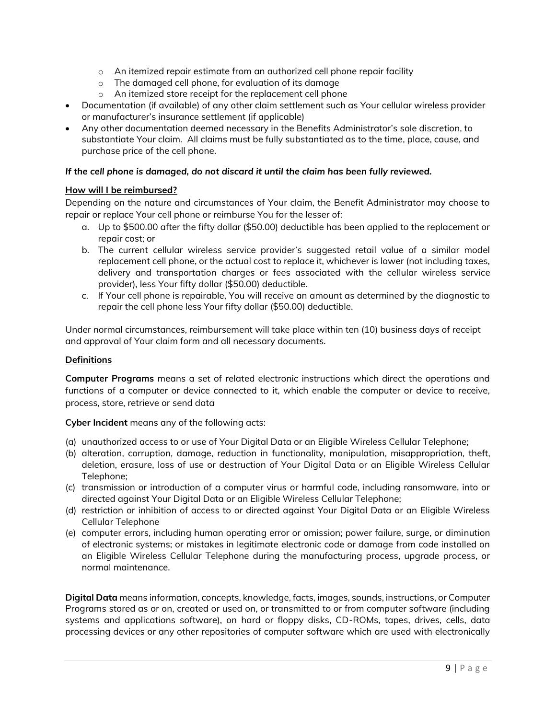- $\circ$  An itemized repair estimate from an authorized cell phone repair facility
- o The damaged cell phone, for evaluation of its damage
- o An itemized store receipt for the replacement cell phone
- Documentation (if available) of any other claim settlement such as Your cellular wireless provider or manufacturer's insurance settlement (if applicable)
- Any other documentation deemed necessary in the Benefits Administrator's sole discretion, to substantiate Your claim. All claims must be fully substantiated as to the time, place, cause, and purchase price of the cell phone.

# *If the cell phone is damaged, do not discard it until the claim has been fully reviewed.*

# **How will I be reimbursed?**

Depending on the nature and circumstances of Your claim, the Benefit Administrator may choose to repair or replace Your cell phone or reimburse You for the lesser of:

- a. Up to \$500.00 after the fifty dollar (\$50.00) deductible has been applied to the replacement or repair cost; or
- b. The current cellular wireless service provider's suggested retail value of a similar model replacement cell phone, or the actual cost to replace it, whichever is lower (not including taxes, delivery and transportation charges or fees associated with the cellular wireless service provider), less Your fifty dollar (\$50.00) deductible.
- c. If Your cell phone is repairable, You will receive an amount as determined by the diagnostic to repair the cell phone less Your fifty dollar (\$50.00) deductible.

Under normal circumstances, reimbursement will take place within ten (10) business days of receipt and approval of Your claim form and all necessary documents.

# **Definitions**

**Computer Programs** means a set of related electronic instructions which direct the operations and functions of a computer or device connected to it, which enable the computer or device to receive, process, store, retrieve or send data

**Cyber Incident** means any of the following acts:

- (a) unauthorized access to or use of Your Digital Data or an Eligible Wireless Cellular Telephone;
- (b) alteration, corruption, damage, reduction in functionality, manipulation, misappropriation, theft, deletion, erasure, loss of use or destruction of Your Digital Data or an Eligible Wireless Cellular Telephone;
- (c) transmission or introduction of a computer virus or harmful code, including ransomware, into or directed against Your Digital Data or an Eligible Wireless Cellular Telephone;
- (d) restriction or inhibition of access to or directed against Your Digital Data or an Eligible Wireless Cellular Telephone
- (e) computer errors, including human operating error or omission; power failure, surge, or diminution of electronic systems; or mistakes in legitimate electronic code or damage from code installed on an Eligible Wireless Cellular Telephone during the manufacturing process, upgrade process, or normal maintenance.

**Digital Data** means information, concepts, knowledge, facts, images, sounds, instructions, or Computer Programs stored as or on, created or used on, or transmitted to or from computer software (including systems and applications software), on hard or floppy disks, CD-ROMs, tapes, drives, cells, data processing devices or any other repositories of computer software which are used with electronically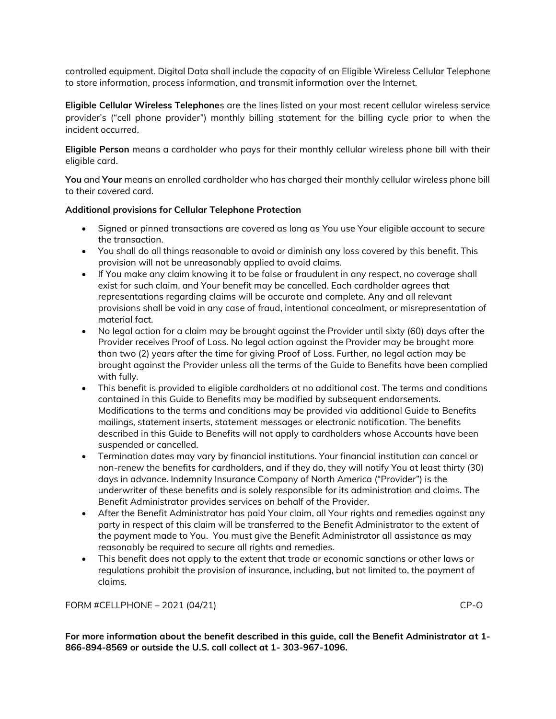controlled equipment. Digital Data shall include the capacity of an Eligible Wireless Cellular Telephone to store information, process information, and transmit information over the Internet.

**Eligible Cellular Wireless Telephone**s are the lines listed on your most recent cellular wireless service provider's ("cell phone provider") monthly billing statement for the billing cycle prior to when the incident occurred.

**Eligible Person** means a cardholder who pays for their monthly cellular wireless phone bill with their eligible card.

**You** and **Your** means an enrolled cardholder who has charged their monthly cellular wireless phone bill to their covered card.

### **Additional provisions for Cellular Telephone Protection**

- Signed or pinned transactions are covered as long as You use Your eligible account to secure the transaction.
- You shall do all things reasonable to avoid or diminish any loss covered by this benefit. This provision will not be unreasonably applied to avoid claims.
- If You make any claim knowing it to be false or fraudulent in any respect, no coverage shall exist for such claim, and Your benefit may be cancelled. Each cardholder agrees that representations regarding claims will be accurate and complete. Any and all relevant provisions shall be void in any case of fraud, intentional concealment, or misrepresentation of material fact.
- No legal action for a claim may be brought against the Provider until sixty (60) days after the Provider receives Proof of Loss. No legal action against the Provider may be brought more than two (2) years after the time for giving Proof of Loss. Further, no legal action may be brought against the Provider unless all the terms of the Guide to Benefits have been complied with fully.
- This benefit is provided to eligible cardholders at no additional cost. The terms and conditions contained in this Guide to Benefits may be modified by subsequent endorsements. Modifications to the terms and conditions may be provided via additional Guide to Benefits mailings, statement inserts, statement messages or electronic notification. The benefits described in this Guide to Benefits will not apply to cardholders whose Accounts have been suspended or cancelled.
- Termination dates may vary by financial institutions. Your financial institution can cancel or non-renew the benefits for cardholders, and if they do, they will notify You at least thirty (30) days in advance. Indemnity Insurance Company of North America ("Provider") is the underwriter of these benefits and is solely responsible for its administration and claims. The Benefit Administrator provides services on behalf of the Provider.
- After the Benefit Administrator has paid Your claim, all Your rights and remedies against any party in respect of this claim will be transferred to the Benefit Administrator to the extent of the payment made to You. You must give the Benefit Administrator all assistance as may reasonably be required to secure all rights and remedies.
- This benefit does not apply to the extent that trade or economic sanctions or other laws or regulations prohibit the provision of insurance, including, but not limited to, the payment of claims.

### FORM #CELLPHONE – 2021 (04/21) CP-O

**For more information about the benefit described in this guide, call the Benefit Administrator at 1- 866-894-8569 or outside the U.S. call collect at 1- 303-967-1096.**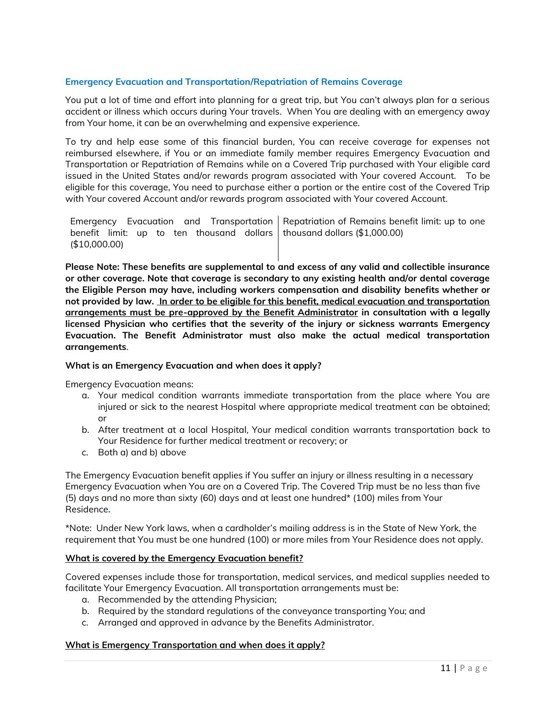# **Emergency Evacuation and Transportation/Repatriation of Remains Coverage**

You put a lot of time and effort into planning for a great trip, but You can't always plan for a serious accident or illness which occurs during Your travels. When You are dealing with an emergency away from Your home, it can be an overwhelming and expensive experience.

To try and help ease some of this financial burden, You can receive coverage for expenses not reimbursed elsewhere, if You or an immediate family member requires Emergency Evacuation and Transportation or Repatriation of Remains while on a Covered Trip purchased with Your eligible card issued in the United States and/or rewards program associated with Your covered Account. To be eligible for this coverage, You need to purchase either a portion or the entire cost of the Covered Trip with Your covered Account and/or rewards program associated with Your covered Account.

Emergency Evacuation and Transportation Repatriation of Remains benefit limit: up to one benefit limit: up to ten thousand dollars thousand dollars (\$1,000.00) (\$10,000.00)

**Please Note: These benefits are supplemental to and excess of any valid and collectible insurance or other coverage. Note that coverage is secondary to any existing health and/or dental coverage the Eligible Person may have, including workers compensation and disability benefits whether or not provided by law. In order to be eligible for this benefit, medical evacuation and transportation arrangements must be pre-approved by the Benefit Administrator in consultation with a legally licensed Physician who certifies that the severity of the injury or sickness warrants Emergency Evacuation. The Benefit Administrator must also make the actual medical transportation arrangements**.

#### **What is an Emergency Evacuation and when does it apply?**

Emergency Evacuation means:

- a. Your medical condition warrants immediate transportation from the place where You are injured or sick to the nearest Hospital where appropriate medical treatment can be obtained; or
- b. After treatment at a local Hospital, Your medical condition warrants transportation back to Your Residence for further medical treatment or recovery; or
- c. Both a) and b) above

The Emergency Evacuation benefit applies if You suffer an injury or illness resulting in a necessary Emergency Evacuation when You are on a Covered Trip. The Covered Trip must be no less than five (5) days and no more than sixty (60) days and at least one hundred\* (100) miles from Your Residence**.**

\*Note: Under New York laws, when a cardholder's mailing address is in the State of New York, the requirement that You must be one hundred (100) or more miles from Your Residence does not apply.

# **What is covered by the Emergency Evacuation benefit?**

Covered expenses include those for transportation, medical services, and medical supplies needed to facilitate Your Emergency Evacuation. All transportation arrangements must be:

- a. Recommended by the attending Physician;
- b. Required by the standard regulations of the conveyance transporting You; and
- c. Arranged and approved in advance by the Benefits Administrator.

#### **What is Emergency Transportation and when does it apply?**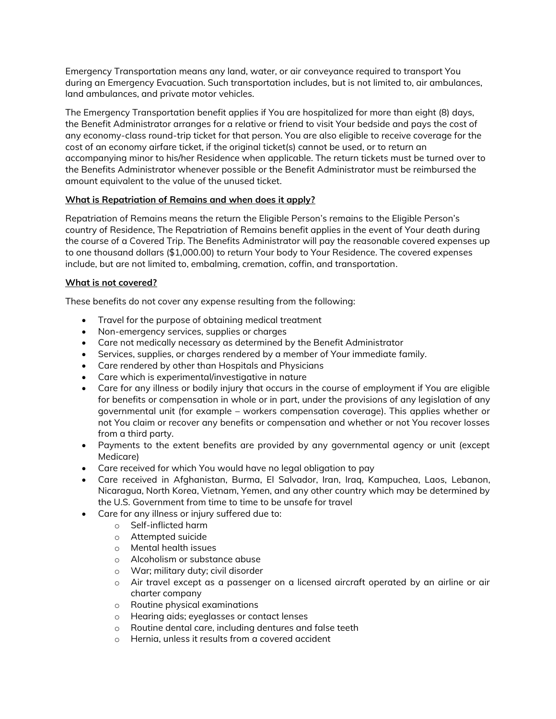Emergency Transportation means any land, water, or air conveyance required to transport You during an Emergency Evacuation. Such transportation includes, but is not limited to, air ambulances, land ambulances, and private motor vehicles.

The Emergency Transportation benefit applies if You are hospitalized for more than eight (8) days, the Benefit Administrator arranges for a relative or friend to visit Your bedside and pays the cost of any economy-class round-trip ticket for that person. You are also eligible to receive coverage for the cost of an economy airfare ticket, if the original ticket(s) cannot be used, or to return an accompanying minor to his/her Residence when applicable. The return tickets must be turned over to the Benefits Administrator whenever possible or the Benefit Administrator must be reimbursed the amount equivalent to the value of the unused ticket.

# **What is Repatriation of Remains and when does it apply?**

Repatriation of Remains means the return the Eligible Person's remains to the Eligible Person's country of Residence, The Repatriation of Remains benefit applies in the event of Your death during the course of a Covered Trip. The Benefits Administrator will pay the reasonable covered expenses up to one thousand dollars (\$1,000.00) to return Your body to Your Residence. The covered expenses include, but are not limited to, embalming, cremation, coffin, and transportation.

# **What is not covered?**

These benefits do not cover any expense resulting from the following:

- Travel for the purpose of obtaining medical treatment
- Non-emergency services, supplies or charges
- Care not medically necessary as determined by the Benefit Administrator
- Services, supplies, or charges rendered by a member of Your immediate family.
- Care rendered by other than Hospitals and Physicians
- Care which is experimental/investigative in nature
- Care for any illness or bodily injury that occurs in the course of employment if You are eligible for benefits or compensation in whole or in part, under the provisions of any legislation of any governmental unit (for example – workers compensation coverage). This applies whether or not You claim or recover any benefits or compensation and whether or not You recover losses from a third party.
- Payments to the extent benefits are provided by any governmental agency or unit (except Medicare)
- Care received for which You would have no legal obligation to pay
- Care received in Afghanistan, Burma, El Salvador, Iran, Iraq, Kampuchea, Laos, Lebanon, Nicaragua, North Korea, Vietnam, Yemen, and any other country which may be determined by the U.S. Government from time to time to be unsafe for travel
- Care for any illness or injury suffered due to:
	- o Self-inflicted harm
	- o Attempted suicide
	- o Mental health issues
	- o Alcoholism or substance abuse
	- o War; military duty; civil disorder
	- o Air travel except as a passenger on a licensed aircraft operated by an airline or air charter company
	- o Routine physical examinations
	- o Hearing aids; eyeglasses or contact lenses
	- o Routine dental care, including dentures and false teeth
	- o Hernia, unless it results from a covered accident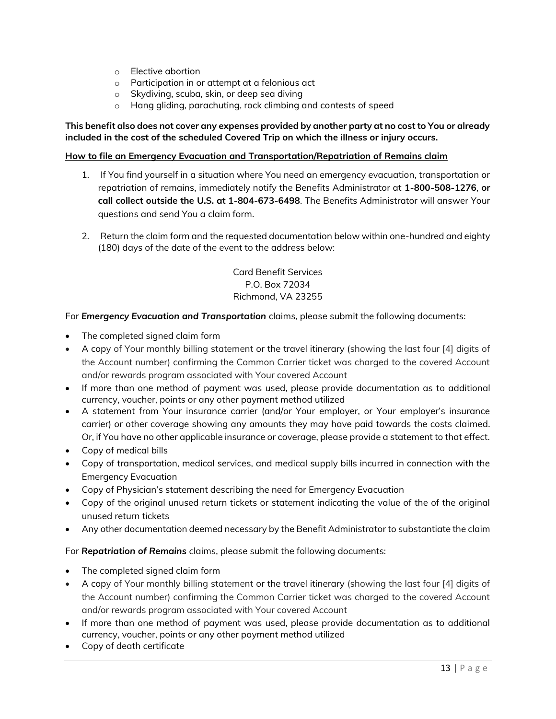- o Elective abortion
- o Participation in or attempt at a felonious act
- o Skydiving, scuba, skin, or deep sea diving
- o Hang gliding, parachuting, rock climbing and contests of speed

### **This benefit also does not cover any expenses provided by another party at no cost to You or already included in the cost of the scheduled Covered Trip on which the illness or injury occurs.**

# **How to file an Emergency Evacuation and Transportation/Repatriation of Remains claim**

- 1. If You find yourself in a situation where You need an emergency evacuation, transportation or repatriation of remains, immediately notify the Benefits Administrator at **1-800-508-1276**, **or call collect outside the U.S. at 1-804-673-6498**. The Benefits Administrator will answer Your questions and send You a claim form.
- 2. Return the claim form and the requested documentation below within one-hundred and eighty (180) days of the date of the event to the address below:

Card Benefit Services P.O. Box 72034 Richmond, VA 23255

For *Emergency Evacuation and Transportation* claims, please submit the following documents:

- The completed signed claim form
- A copy of Your monthly billing statement or the travel itinerary (showing the last four [4] digits of the Account number) confirming the Common Carrier ticket was charged to the covered Account and/or rewards program associated with Your covered Account
- If more than one method of payment was used, please provide documentation as to additional currency, voucher, points or any other payment method utilized
- A statement from Your insurance carrier (and/or Your employer, or Your employer's insurance carrier) or other coverage showing any amounts they may have paid towards the costs claimed. Or, if You have no other applicable insurance or coverage, please provide a statement to that effect.
- Copy of medical bills
- Copy of transportation, medical services, and medical supply bills incurred in connection with the Emergency Evacuation
- Copy of Physician's statement describing the need for Emergency Evacuation
- Copy of the original unused return tickets or statement indicating the value of the of the original unused return tickets
- Any other documentation deemed necessary by the Benefit Administrator to substantiate the claim

For *Repatriation of Remains* claims, please submit the following documents:

- The completed signed claim form
- A copy of Your monthly billing statement or the travel itinerary (showing the last four [4] digits of the Account number) confirming the Common Carrier ticket was charged to the covered Account and/or rewards program associated with Your covered Account
- If more than one method of payment was used, please provide documentation as to additional currency, voucher, points or any other payment method utilized
- Copy of death certificate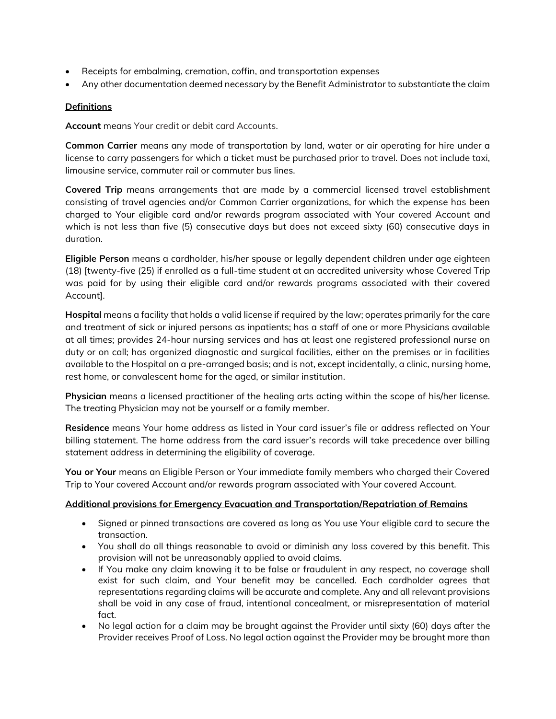- Receipts for embalming, cremation, coffin, and transportation expenses
- Any other documentation deemed necessary by the Benefit Administrator to substantiate the claim

# **Definitions**

**Account** means Your credit or debit card Accounts.

**Common Carrier** means any mode of transportation by land, water or air operating for hire under a license to carry passengers for which a ticket must be purchased prior to travel. Does not include taxi, limousine service, commuter rail or commuter bus lines.

**Covered Trip** means arrangements that are made by a commercial licensed travel establishment consisting of travel agencies and/or Common Carrier organizations, for which the expense has been charged to Your eligible card and/or rewards program associated with Your covered Account and which is not less than five (5) consecutive days but does not exceed sixty (60) consecutive days in duration.

**Eligible Person** means a cardholder, his/her spouse or legally dependent children under age eighteen (18) [twenty-five (25) if enrolled as a full-time student at an accredited university whose Covered Trip was paid for by using their eligible card and/or rewards programs associated with their covered Account].

**Hospital** means a facility that holds a valid license if required by the law; operates primarily for the care and treatment of sick or injured persons as inpatients; has a staff of one or more Physicians available at all times; provides 24-hour nursing services and has at least one registered professional nurse on duty or on call; has organized diagnostic and surgical facilities, either on the premises or in facilities available to the Hospital on a pre-arranged basis; and is not, except incidentally, a clinic, nursing home, rest home, or convalescent home for the aged, or similar institution.

**Physician** means a licensed practitioner of the healing arts acting within the scope of his/her license. The treating Physician may not be yourself or a family member.

**Residence** means Your home address as listed in Your card issuer's file or address reflected on Your billing statement. The home address from the card issuer's records will take precedence over billing statement address in determining the eligibility of coverage.

**You or Your** means an Eligible Person or Your immediate family members who charged their Covered Trip to Your covered Account and/or rewards program associated with Your covered Account.

# **Additional provisions for Emergency Evacuation and Transportation/Repatriation of Remains**

- Signed or pinned transactions are covered as long as You use Your eligible card to secure the transaction.
- You shall do all things reasonable to avoid or diminish any loss covered by this benefit. This provision will not be unreasonably applied to avoid claims.
- If You make any claim knowing it to be false or fraudulent in any respect, no coverage shall exist for such claim, and Your benefit may be cancelled. Each cardholder agrees that representations regarding claims will be accurate and complete. Any and all relevant provisions shall be void in any case of fraud, intentional concealment, or misrepresentation of material fact.
- No legal action for a claim may be brought against the Provider until sixty (60) days after the Provider receives Proof of Loss. No legal action against the Provider may be brought more than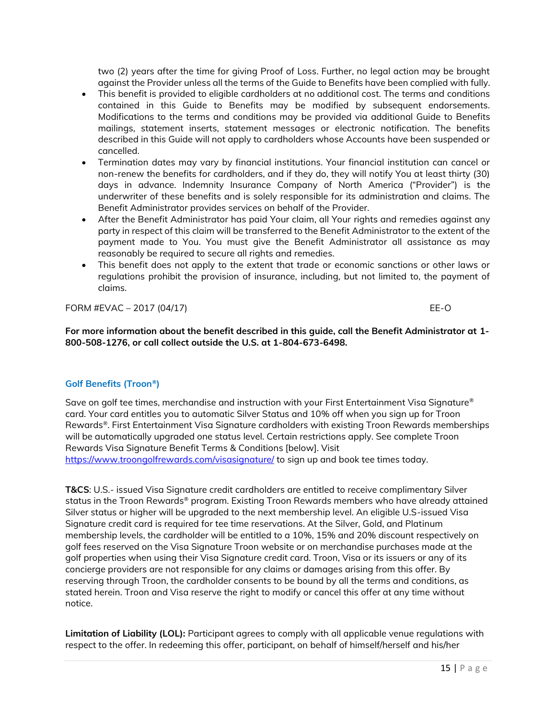two (2) years after the time for giving Proof of Loss. Further, no legal action may be brought against the Provider unless all the terms of the Guide to Benefits have been complied with fully.

- This benefit is provided to eligible cardholders at no additional cost. The terms and conditions contained in this Guide to Benefits may be modified by subsequent endorsements. Modifications to the terms and conditions may be provided via additional Guide to Benefits mailings, statement inserts, statement messages or electronic notification. The benefits described in this Guide will not apply to cardholders whose Accounts have been suspended or cancelled.
- Termination dates may vary by financial institutions. Your financial institution can cancel or non-renew the benefits for cardholders, and if they do, they will notify You at least thirty (30) days in advance. Indemnity Insurance Company of North America ("Provider") is the underwriter of these benefits and is solely responsible for its administration and claims. The Benefit Administrator provides services on behalf of the Provider.
- After the Benefit Administrator has paid Your claim, all Your rights and remedies against any party in respect of this claim will be transferred to the Benefit Administrator to the extent of the payment made to You. You must give the Benefit Administrator all assistance as may reasonably be required to secure all rights and remedies.
- This benefit does not apply to the extent that trade or economic sanctions or other laws or regulations prohibit the provision of insurance, including, but not limited to, the payment of claims.

FORM #EVAC – 2017 (04/17) EE-O

**For more information about the benefit described in this guide, call the Benefit Administrator at 1- 800-508-1276, or call collect outside the U.S. at 1-804-673-6498.**

# **Golf Benefits (Troon®)**

Save on golf tee times, merchandise and instruction with your First Entertainment Visa Signature® card. Your card entitles you to automatic Silver Status and 10% off when you sign up for Troon Rewards®. First Entertainment Visa Signature cardholders with existing Troon Rewards memberships will be automatically upgraded one status level. Certain restrictions apply. See complete Troon Rewards Visa Signature Benefit Terms & Conditions [below]. Visit <https://www.troongolfrewards.com/visasignature/> to sign up and book tee times today.

**T&CS**: U.S.- issued Visa Signature credit cardholders are entitled to receive complimentary Silver status in the Troon Rewards® program. Existing Troon Rewards members who have already attained Silver status or higher will be upgraded to the next membership level. An eligible U.S-issued Visa Signature credit card is required for tee time reservations. At the Silver, Gold, and Platinum membership levels, the cardholder will be entitled to a 10%, 15% and 20% discount respectively on golf fees reserved on the Visa Signature Troon website or on merchandise purchases made at the golf properties when using their Visa Signature credit card. Troon, Visa or its issuers or any of its concierge providers are not responsible for any claims or damages arising from this offer. By reserving through Troon, the cardholder consents to be bound by all the terms and conditions, as stated herein. Troon and Visa reserve the right to modify or cancel this offer at any time without notice.

**Limitation of Liability (LOL):** Participant agrees to comply with all applicable venue regulations with respect to the offer. In redeeming this offer, participant, on behalf of himself/herself and his/her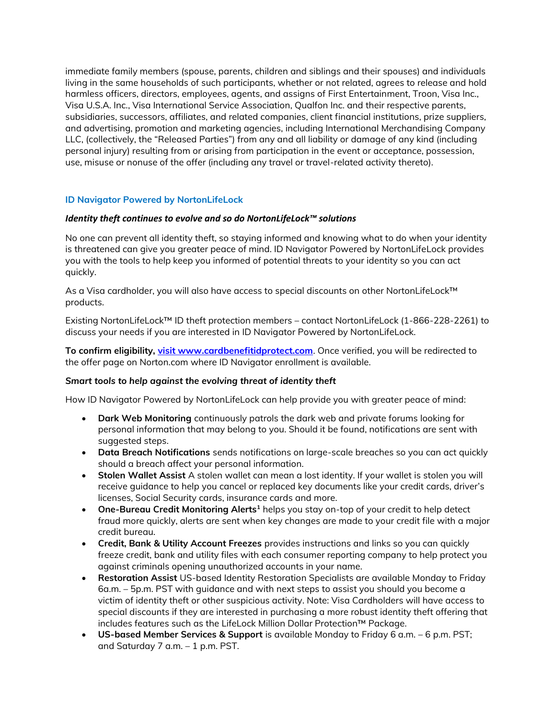immediate family members (spouse, parents, children and siblings and their spouses) and individuals living in the same households of such participants, whether or not related, agrees to release and hold harmless officers, directors, employees, agents, and assigns of First Entertainment, Troon, Visa Inc., Visa U.S.A. Inc., Visa International Service Association, Qualfon Inc. and their respective parents, subsidiaries, successors, affiliates, and related companies, client financial institutions, prize suppliers, and advertising, promotion and marketing agencies, including International Merchandising Company LLC, (collectively, the "Released Parties") from any and all liability or damage of any kind (including personal injury) resulting from or arising from participation in the event or acceptance, possession, use, misuse or nonuse of the offer (including any travel or travel-related activity thereto).

# **ID Navigator Powered by NortonLifeLock**

### *Identity theft continues to evolve and so do NortonLifeLock™ solutions*

No one can prevent all identity theft, so staying informed and knowing what to do when your identity is threatened can give you greater peace of mind. ID Navigator Powered by NortonLifeLock provides you with the tools to help keep you informed of potential threats to your identity so you can act quickly.

As a Visa cardholder, you will also have access to special discounts on other NortonLifeLock™ products.

Existing NortonLifeLock™ ID theft protection members – contact NortonLifeLock (1-866-228-2261) to discuss your needs if you are interested in ID Navigator Powered by NortonLifeLock.

**To confirm eligibility, [visit www.cardbenefitidprotect.com](file:///C:/Users/jdoug/Documents/visit%20www.cardbenefitidprotect.com)**. Once verified, you will be redirected to the offer page on Norton.com where ID Navigator enrollment is available.

#### *Smart tools to help against the evolving threat of identity theft*

How ID Navigator Powered by NortonLifeLock can help provide you with greater peace of mind:

- **Dark Web Monitoring** continuously patrols the dark web and private forums looking for personal information that may belong to you. Should it be found, notifications are sent with suggested steps.
- **Data Breach Notifications** sends notifications on large-scale breaches so you can act quickly should a breach affect your personal information.
- **Stolen Wallet Assist** A stolen wallet can mean a lost identity. If your wallet is stolen you will receive guidance to help you cancel or replaced key documents like your credit cards, driver's licenses, Social Security cards, insurance cards and more.
- **One-Bureau Credit Monitoring Alerts<sup>1</sup>** helps you stay on-top of your credit to help detect fraud more quickly, alerts are sent when key changes are made to your credit file with a major credit bureau.
- **Credit, Bank & Utility Account Freezes** provides instructions and links so you can quickly freeze credit, bank and utility files with each consumer reporting company to help protect you against criminals opening unauthorized accounts in your name.
- **Restoration Assist** US-based Identity Restoration Specialists are available Monday to Friday 6a.m. – 5p.m. PST with guidance and with next steps to assist you should you become a victim of identity theft or other suspicious activity. Note: Visa Cardholders will have access to special discounts if they are interested in purchasing a more robust identity theft offering that includes features such as the LifeLock Million Dollar Protection™ Package.
- **US-based Member Services & Support** is available Monday to Friday 6 a.m. 6 p.m. PST; and Saturday 7 a.m. – 1 p.m. PST.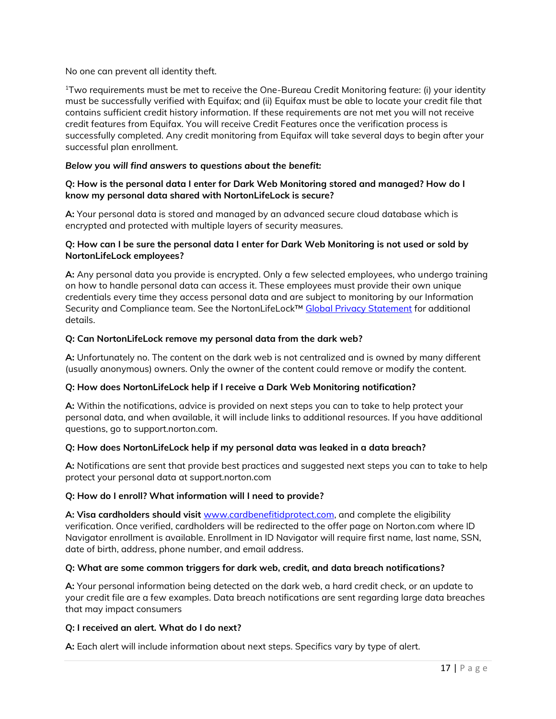No one can prevent all identity theft.

<sup>1</sup>Two requirements must be met to receive the One-Bureau Credit Monitoring feature: (i) your identity must be successfully verified with Equifax; and (ii) Equifax must be able to locate your credit file that contains sufficient credit history information. If these requirements are not met you will not receive credit features from Equifax. You will receive Credit Features once the verification process is successfully completed. Any credit monitoring from Equifax will take several days to begin after your successful plan enrollment.

# *Below you will find answers to questions about the benefit:*

### **Q: How is the personal data I enter for Dark Web Monitoring stored and managed? How do I know my personal data shared with NortonLifeLock is secure?**

**A:** Your personal data is stored and managed by an advanced secure cloud database which is encrypted and protected with multiple layers of security measures.

### **Q: How can I be sure the personal data I enter for Dark Web Monitoring is not used or sold by NortonLifeLock employees?**

**A:** Any personal data you provide is encrypted. Only a few selected employees, who undergo training on how to handle personal data can access it. These employees must provide their own unique credentials every time they access personal data and are subject to monitoring by our Information Security and Compliance team. See the NortonLifeLock™ [Global Privacy Statement](https://www.nortonlifelock.com/us/en/privacy/global-privacy-statement/) for additional details.

### **Q: Can NortonLifeLock remove my personal data from the dark web?**

**A:** Unfortunately no. The content on the dark web is not centralized and is owned by many different (usually anonymous) owners. Only the owner of the content could remove or modify the content.

# **Q: How does NortonLifeLock help if I receive a Dark Web Monitoring notification?**

**A:** Within the notifications, advice is provided on next steps you can to take to help protect your personal data, and when available, it will include links to additional resources. If you have additional questions, go to support.norton.com.

# **Q: How does NortonLifeLock help if my personal data was leaked in a data breach?**

**A:** Notifications are sent that provide best practices and suggested next steps you can to take to help protect your personal data at support.norton.com

# **Q: How do I enroll? What information will I need to provide?**

**A: Visa cardholders should visit** [www.cardbenefitidprotect.com,](file:///C:/Users/jdoug/Documents/www.cardbenefitidprotect.com) and complete the eligibility verification. Once verified, cardholders will be redirected to the offer page on Norton.com where ID Navigator enrollment is available. Enrollment in ID Navigator will require first name, last name, SSN, date of birth, address, phone number, and email address.

#### **Q: What are some common triggers for dark web, credit, and data breach notifications?**

**A:** Your personal information being detected on the dark web, a hard credit check, or an update to your credit file are a few examples. Data breach notifications are sent regarding large data breaches that may impact consumers

#### **Q: I received an alert. What do I do next?**

**A:** Each alert will include information about next steps. Specifics vary by type of alert.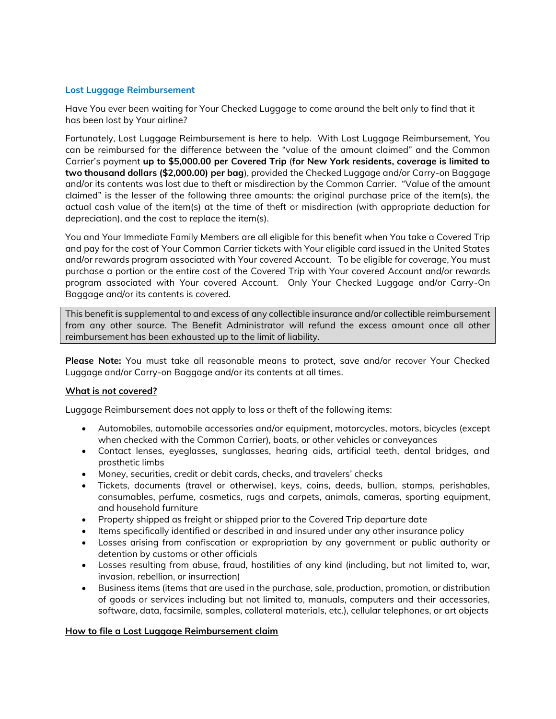# **Lost Luggage Reimbursement**

Have You ever been waiting for Your Checked Luggage to come around the belt only to find that it has been lost by Your airline?

Fortunately, Lost Luggage Reimbursement is here to help. With Lost Luggage Reimbursement, You can be reimbursed for the difference between the "value of the amount claimed" and the Common Carrier's payment **up to \$5,000.00 per Covered Trip** (**for New York residents, coverage is limited to two thousand dollars (\$2,000.00) per bag**), provided the Checked Luggage and/or Carry-on Baggage and/or its contents was lost due to theft or misdirection by the Common Carrier. "Value of the amount claimed" is the lesser of the following three amounts: the original purchase price of the item(s), the actual cash value of the item(s) at the time of theft or misdirection (with appropriate deduction for depreciation), and the cost to replace the item(s).

You and Your Immediate Family Members are all eligible for this benefit when You take a Covered Trip and pay for the cost of Your Common Carrier tickets with Your eligible card issued in the United States and/or rewards program associated with Your covered Account. To be eligible for coverage, You must purchase a portion or the entire cost of the Covered Trip with Your covered Account and/or rewards program associated with Your covered Account. Only Your Checked Luggage and/or Carry-On Baggage and/or its contents is covered.

This benefit is supplemental to and excess of any collectible insurance and/or collectible reimbursement from any other source. The Benefit Administrator will refund the excess amount once all other reimbursement has been exhausted up to the limit of liability.

**Please Note:** You must take all reasonable means to protect, save and/or recover Your Checked Luggage and/or Carry-on Baggage and/or its contents at all times.

# **What is** *not* **covered?**

Luggage Reimbursement does not apply to loss or theft of the following items:

- Automobiles, automobile accessories and/or equipment, motorcycles, motors, bicycles (except when checked with the Common Carrier), boats, or other vehicles or conveyances
- Contact lenses, eyeglasses, sunglasses, hearing aids, artificial teeth, dental bridges, and prosthetic limbs
- Money, securities, credit or debit cards, checks, and travelers' checks
- Tickets, documents (travel or otherwise), keys, coins, deeds, bullion, stamps, perishables, consumables, perfume, cosmetics, rugs and carpets, animals, cameras, sporting equipment, and household furniture
- Property shipped as freight or shipped prior to the Covered Trip departure date
- Items specifically identified or described in and insured under any other insurance policy
- Losses arising from confiscation or expropriation by any government or public authority or detention by customs or other officials
- Losses resulting from abuse, fraud, hostilities of any kind (including, but not limited to, war, invasion, rebellion, or insurrection)
- Business items (items that are used in the purchase, sale, production, promotion, or distribution of goods or services including but not limited to, manuals, computers and their accessories, software, data, facsimile, samples, collateral materials, etc.), cellular telephones, or art objects

# **How to file a Lost Luggage Reimbursement claim**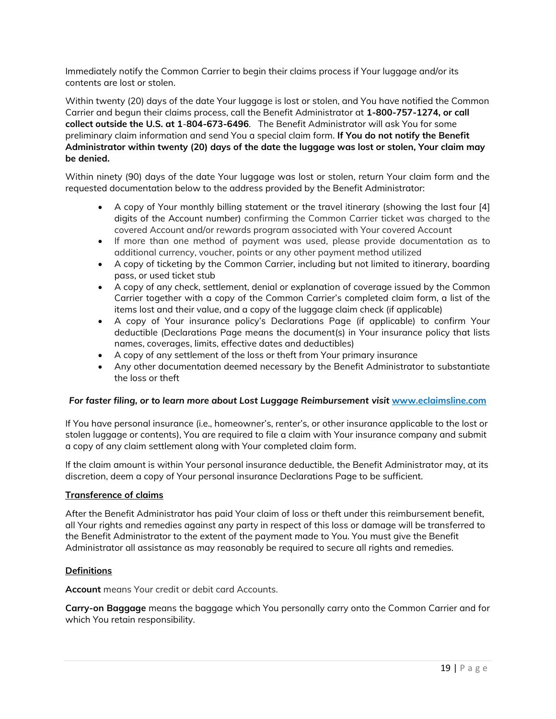Immediately notify the Common Carrier to begin their claims process if Your luggage and/or its contents are lost or stolen.

Within twenty (20) days of the date Your luggage is lost or stolen, and You have notified the Common Carrier and begun their claims process, call the Benefit Administrator at **1-800-757-1274, or call collect outside the U.S. at 1**-**804-673-6496**. The Benefit Administrator will ask You for some preliminary claim information and send You a special claim form. **If You do not notify the Benefit Administrator within twenty (20) days of the date the luggage was lost or stolen, Your claim may be denied.**

Within ninety (90) days of the date Your luggage was lost or stolen, return Your claim form and the requested documentation below to the address provided by the Benefit Administrator:

- A copy of Your monthly billing statement or the travel itinerary (showing the last four [4] digits of the Account number) confirming the Common Carrier ticket was charged to the covered Account and/or rewards program associated with Your covered Account
- If more than one method of payment was used, please provide documentation as to additional currency, voucher, points or any other payment method utilized
- A copy of ticketing by the Common Carrier, including but not limited to itinerary, boarding pass, or used ticket stub
- A copy of any check, settlement, denial or explanation of coverage issued by the Common Carrier together with a copy of the Common Carrier's completed claim form, a list of the items lost and their value, and a copy of the luggage claim check (if applicable)
- A copy of Your insurance policy's Declarations Page (if applicable) to confirm Your deductible (Declarations Page means the document(s) in Your insurance policy that lists names, coverages, limits, effective dates and deductibles)
- A copy of any settlement of the loss or theft from Your primary insurance
- Any other documentation deemed necessary by the Benefit Administrator to substantiate the loss or theft

# *For faster filing, or to learn more about Lost Luggage Reimbursement visit* **[www.eclaimsline.com](http://www.eclaimsline.com/)**

If You have personal insurance (i.e., homeowner's, renter's, or other insurance applicable to the lost or stolen luggage or contents), You are required to file a claim with Your insurance company and submit a copy of any claim settlement along with Your completed claim form.

If the claim amount is within Your personal insurance deductible, the Benefit Administrator may, at its discretion, deem a copy of Your personal insurance Declarations Page to be sufficient.

# **Transference of claims**

After the Benefit Administrator has paid Your claim of loss or theft under this reimbursement benefit, all Your rights and remedies against any party in respect of this loss or damage will be transferred to the Benefit Administrator to the extent of the payment made to You. You must give the Benefit Administrator all assistance as may reasonably be required to secure all rights and remedies.

# **Definitions**

**Account** means Your credit or debit card Accounts.

**Carry-on Baggage** means the baggage which You personally carry onto the Common Carrier and for which You retain responsibility.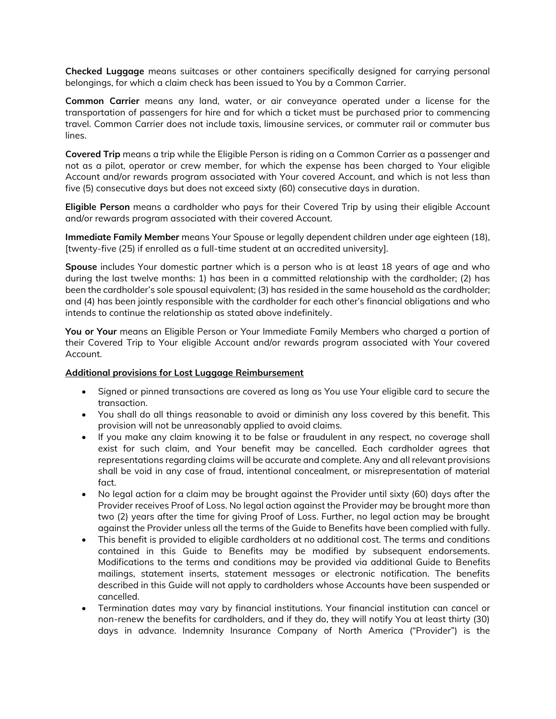**Checked Luggage** means suitcases or other containers specifically designed for carrying personal belongings, for which a claim check has been issued to You by a Common Carrier.

**Common Carrier** means any land, water, or air conveyance operated under a license for the transportation of passengers for hire and for which a ticket must be purchased prior to commencing travel. Common Carrier does not include taxis, limousine services, or commuter rail or commuter bus lines.

**Covered Trip** means a trip while the Eligible Person is riding on a Common Carrier as a passenger and not as a pilot, operator or crew member, for which the expense has been charged to Your eligible Account and/or rewards program associated with Your covered Account, and which is not less than five (5) consecutive days but does not exceed sixty (60) consecutive days in duration.

**Eligible Person** means a cardholder who pays for their Covered Trip by using their eligible Account and/or rewards program associated with their covered Account.

**Immediate Family Member** means Your Spouse or legally dependent children under age eighteen (18), [twenty-five (25) if enrolled as a full-time student at an accredited university].

**Spouse** includes Your domestic partner which is a person who is at least 18 years of age and who during the last twelve months: 1) has been in a committed relationship with the cardholder; (2) has been the cardholder's sole spousal equivalent; (3) has resided in the same household as the cardholder; and (4) has been jointly responsible with the cardholder for each other's financial obligations and who intends to continue the relationship as stated above indefinitely.

**You or Your** means an Eligible Person or Your Immediate Family Members who charged a portion of their Covered Trip to Your eligible Account and/or rewards program associated with Your covered Account.

#### **Additional provisions for Lost Luggage Reimbursement**

- Signed or pinned transactions are covered as long as You use Your eligible card to secure the transaction.
- You shall do all things reasonable to avoid or diminish any loss covered by this benefit. This provision will not be unreasonably applied to avoid claims.
- If you make any claim knowing it to be false or fraudulent in any respect, no coverage shall exist for such claim, and Your benefit may be cancelled. Each cardholder agrees that representations regarding claims will be accurate and complete. Any and all relevant provisions shall be void in any case of fraud, intentional concealment, or misrepresentation of material fact.
- No legal action for a claim may be brought against the Provider until sixty (60) days after the Provider receives Proof of Loss. No legal action against the Provider may be brought more than two (2) years after the time for giving Proof of Loss. Further, no legal action may be brought against the Provider unless all the terms of the Guide to Benefits have been complied with fully.
- This benefit is provided to eligible cardholders at no additional cost. The terms and conditions contained in this Guide to Benefits may be modified by subsequent endorsements. Modifications to the terms and conditions may be provided via additional Guide to Benefits mailings, statement inserts, statement messages or electronic notification. The benefits described in this Guide will not apply to cardholders whose Accounts have been suspended or cancelled.
- Termination dates may vary by financial institutions. Your financial institution can cancel or non-renew the benefits for cardholders, and if they do, they will notify You at least thirty (30) days in advance. Indemnity Insurance Company of North America ("Provider") is the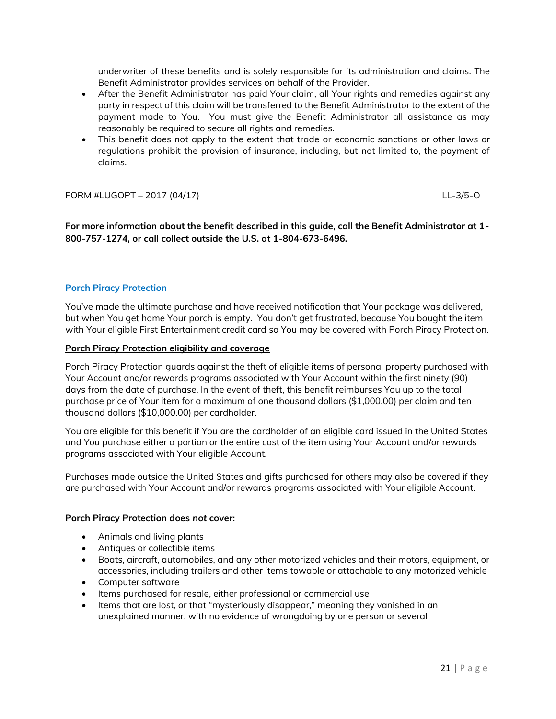underwriter of these benefits and is solely responsible for its administration and claims. The Benefit Administrator provides services on behalf of the Provider.

- After the Benefit Administrator has paid Your claim, all Your rights and remedies against any party in respect of this claim will be transferred to the Benefit Administrator to the extent of the payment made to You. You must give the Benefit Administrator all assistance as may reasonably be required to secure all rights and remedies.
- This benefit does not apply to the extent that trade or economic sanctions or other laws or regulations prohibit the provision of insurance, including, but not limited to, the payment of claims.

FORM #LUGOPT – 2017 (04/17) LL-3/5-O

**For more information about the benefit described in this guide, call the Benefit Administrator at 1- 800-757-1274, or call collect outside the U.S. at 1-804-673-6496.**

# **Porch Piracy Protection**

You've made the ultimate purchase and have received notification that Your package was delivered, but when You get home Your porch is empty. You don't get frustrated, because You bought the item with Your eligible First Entertainment credit card so You may be covered with Porch Piracy Protection.

### **Porch Piracy Protection eligibility and coverage**

Porch Piracy Protection guards against the theft of eligible items of personal property purchased with Your Account and/or rewards programs associated with Your Account within the first ninety (90) days from the date of purchase. In the event of theft, this benefit reimburses You up to the total purchase price of Your item for a maximum of one thousand dollars (\$1,000.00) per claim and ten thousand dollars (\$10,000.00) per cardholder.

You are eligible for this benefit if You are the cardholder of an eligible card issued in the United States and You purchase either a portion or the entire cost of the item using Your Account and/or rewards programs associated with Your eligible Account.

Purchases made outside the United States and gifts purchased for others may also be covered if they are purchased with Your Account and/or rewards programs associated with Your eligible Account.

#### **Porch Piracy Protection does** *not* **cover:**

- Animals and living plants
- Antiques or collectible items
- Boats, aircraft, automobiles, and any other motorized vehicles and their motors, equipment, or accessories, including trailers and other items towable or attachable to any motorized vehicle
- Computer software
- Items purchased for resale, either professional or commercial use
- Items that are lost, or that "mysteriously disappear," meaning they vanished in an unexplained manner, with no evidence of wrongdoing by one person or several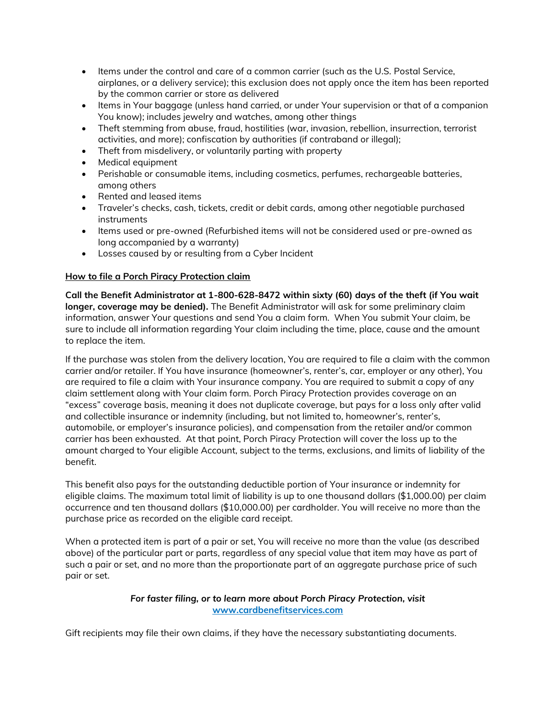- Items under the control and care of a common carrier (such as the U.S. Postal Service, airplanes, or a delivery service); this exclusion does not apply once the item has been reported by the common carrier or store as delivered
- Items in Your baggage (unless hand carried, or under Your supervision or that of a companion You know); includes jewelry and watches, among other things
- Theft stemming from abuse, fraud, hostilities (war, invasion, rebellion, insurrection, terrorist activities, and more); confiscation by authorities (if contraband or illegal);
- Theft from misdelivery, or voluntarily parting with property
- Medical equipment
- Perishable or consumable items, including cosmetics, perfumes, rechargeable batteries, among others
- Rented and leased items
- Traveler's checks, cash, tickets, credit or debit cards, among other negotiable purchased instruments
- Items used or pre-owned (Refurbished items will not be considered used or pre-owned as long accompanied by a warranty)
- Losses caused by or resulting from a Cyber Incident

# **How to file a Porch Piracy Protection claim**

**Call the Benefit Administrator at 1-800-628-8472 within sixty (60) days of the theft (if You wait longer, coverage may be denied).** The Benefit Administrator will ask for some preliminary claim information, answer Your questions and send You a claim form. When You submit Your claim, be sure to include all information regarding Your claim including the time, place, cause and the amount to replace the item.

If the purchase was stolen from the delivery location, You are required to file a claim with the common carrier and/or retailer. If You have insurance (homeowner's, renter's, car, employer or any other), You are required to file a claim with Your insurance company. You are required to submit a copy of any claim settlement along with Your claim form. Porch Piracy Protection provides coverage on an "excess" coverage basis, meaning it does not duplicate coverage, but pays for a loss only after valid and collectible insurance or indemnity (including, but not limited to, homeowner's, renter's, automobile, or employer's insurance policies), and compensation from the retailer and/or common carrier has been exhausted. At that point, Porch Piracy Protection will cover the loss up to the amount charged to Your eligible Account, subject to the terms, exclusions, and limits of liability of the benefit.

This benefit also pays for the outstanding deductible portion of Your insurance or indemnity for eligible claims. The maximum total limit of liability is up to one thousand dollars (\$1,000.00) per claim occurrence and ten thousand dollars (\$10,000.00) per cardholder. You will receive no more than the purchase price as recorded on the eligible card receipt.

When a protected item is part of a pair or set, You will receive no more than the value (as described above) of the particular part or parts, regardless of any special value that item may have as part of such a pair or set, and no more than the proportionate part of an aggregate purchase price of such pair or set.

# *For faster filing, or to learn more about Porch Piracy Protection, visit* **[www.cardbenefitservices.com](http://www.visa.com/eclaims)**

Gift recipients may file their own claims, if they have the necessary substantiating documents.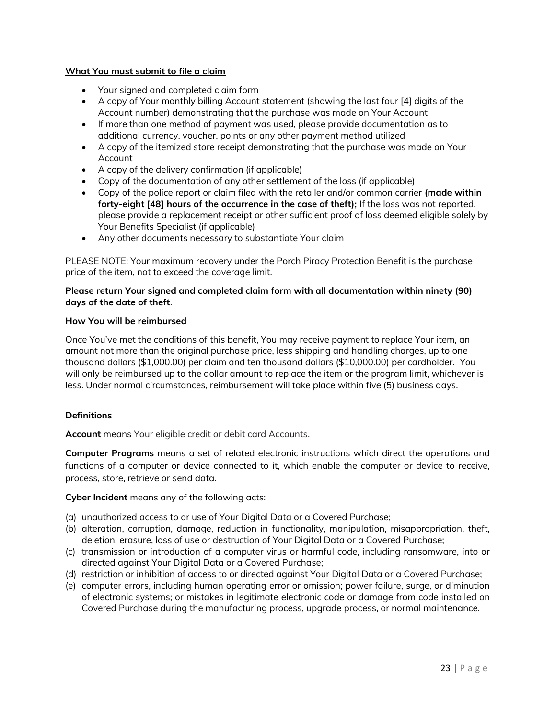### **What You must submit to file a claim**

- Your signed and completed claim form
- A copy of Your monthly billing Account statement (showing the last four [4] digits of the Account number) demonstrating that the purchase was made on Your Account
- If more than one method of payment was used, please provide documentation as to additional currency, voucher, points or any other payment method utilized
- A copy of the itemized store receipt demonstrating that the purchase was made on Your Account
- A copy of the delivery confirmation (if applicable)
- Copy of the documentation of any other settlement of the loss (if applicable)
- Copy of the police report or claim filed with the retailer and/or common carrier **(made within forty-eight [48] hours of the occurrence in the case of theft);** If the loss was not reported, please provide a replacement receipt or other sufficient proof of loss deemed eligible solely by Your Benefits Specialist (if applicable)
- Any other documents necessary to substantiate Your claim

PLEASE NOTE: Your maximum recovery under the Porch Piracy Protection Benefit is the purchase price of the item, not to exceed the coverage limit.

### **Please return Your signed and completed claim form with all documentation within ninety (90) days of the date of theft**.

### **How You will be reimbursed**

Once You've met the conditions of this benefit, You may receive payment to replace Your item, an amount not more than the original purchase price, less shipping and handling charges, up to one thousand dollars (\$1,000.00) per claim and ten thousand dollars (\$10,000.00) per cardholder. You will only be reimbursed up to the dollar amount to replace the item or the program limit, whichever is less. Under normal circumstances, reimbursement will take place within five (5) business days.

# **Definitions**

**Account** means Your eligible credit or debit card Accounts.

**Computer Programs** means a set of related electronic instructions which direct the operations and functions of a computer or device connected to it, which enable the computer or device to receive, process, store, retrieve or send data.

**Cyber Incident** means any of the following acts:

- (a) unauthorized access to or use of Your Digital Data or a Covered Purchase;
- (b) alteration, corruption, damage, reduction in functionality, manipulation, misappropriation, theft, deletion, erasure, loss of use or destruction of Your Digital Data or a Covered Purchase;
- (c) transmission or introduction of a computer virus or harmful code, including ransomware, into or directed against Your Digital Data or a Covered Purchase;
- (d) restriction or inhibition of access to or directed against Your Digital Data or a Covered Purchase;
- (e) computer errors, including human operating error or omission; power failure, surge, or diminution of electronic systems; or mistakes in legitimate electronic code or damage from code installed on Covered Purchase during the manufacturing process, upgrade process, or normal maintenance.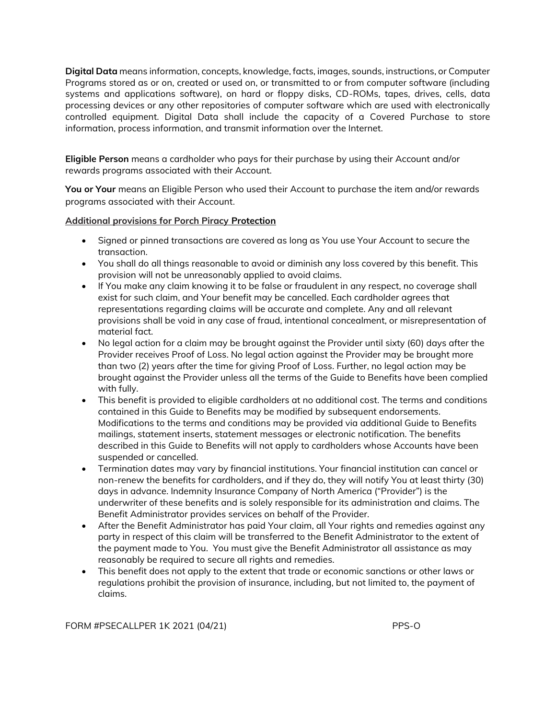**Digital Data** means information, concepts, knowledge, facts, images, sounds, instructions, or Computer Programs stored as or on, created or used on, or transmitted to or from computer software (including systems and applications software), on hard or floppy disks, CD-ROMs, tapes, drives, cells, data processing devices or any other repositories of computer software which are used with electronically controlled equipment. Digital Data shall include the capacity of a Covered Purchase to store information, process information, and transmit information over the Internet.

**Eligible Person** means a cardholder who pays for their purchase by using their Account and/or rewards programs associated with their Account.

**You or Your** means an Eligible Person who used their Account to purchase the item and/or rewards programs associated with their Account.

# **Additional provisions for Porch Piracy Protection**

- Signed or pinned transactions are covered as long as You use Your Account to secure the transaction.
- You shall do all things reasonable to avoid or diminish any loss covered by this benefit. This provision will not be unreasonably applied to avoid claims.
- If You make any claim knowing it to be false or fraudulent in any respect, no coverage shall exist for such claim, and Your benefit may be cancelled. Each cardholder agrees that representations regarding claims will be accurate and complete. Any and all relevant provisions shall be void in any case of fraud, intentional concealment, or misrepresentation of material fact.
- No legal action for a claim may be brought against the Provider until sixty (60) days after the Provider receives Proof of Loss. No legal action against the Provider may be brought more than two (2) years after the time for giving Proof of Loss. Further, no legal action may be brought against the Provider unless all the terms of the Guide to Benefits have been complied with fully.
- This benefit is provided to eligible cardholders at no additional cost. The terms and conditions contained in this Guide to Benefits may be modified by subsequent endorsements. Modifications to the terms and conditions may be provided via additional Guide to Benefits mailings, statement inserts, statement messages or electronic notification. The benefits described in this Guide to Benefits will not apply to cardholders whose Accounts have been suspended or cancelled.
- Termination dates may vary by financial institutions. Your financial institution can cancel or non-renew the benefits for cardholders, and if they do, they will notify You at least thirty (30) days in advance. Indemnity Insurance Company of North America ("Provider") is the underwriter of these benefits and is solely responsible for its administration and claims. The Benefit Administrator provides services on behalf of the Provider.
- After the Benefit Administrator has paid Your claim, all Your rights and remedies against any party in respect of this claim will be transferred to the Benefit Administrator to the extent of the payment made to You. You must give the Benefit Administrator all assistance as may reasonably be required to secure all rights and remedies.
- This benefit does not apply to the extent that trade or economic sanctions or other laws or regulations prohibit the provision of insurance, including, but not limited to, the payment of claims.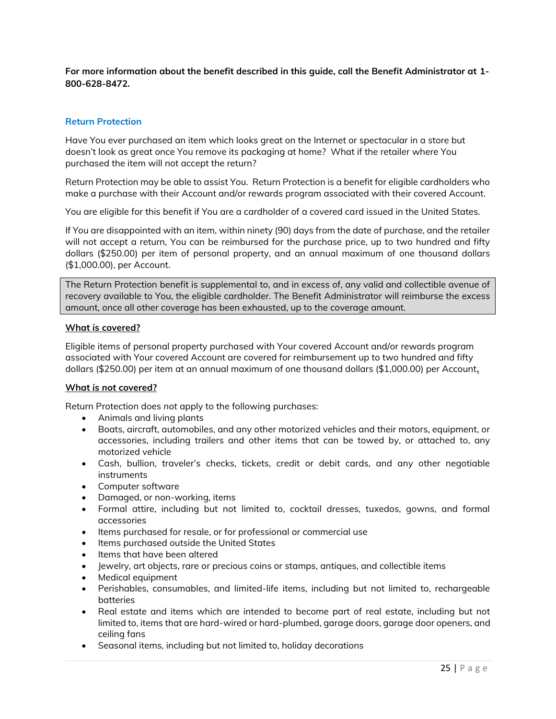**For more information about the benefit described in this guide, call the Benefit Administrator at 1- 800-628-8472.**

# **Return Protection**

Have You ever purchased an item which looks great on the Internet or spectacular in a store but doesn't look as great once You remove its packaging at home? What if the retailer where You purchased the item will not accept the return?

Return Protection may be able to assist You. Return Protection is a benefit for eligible cardholders who make a purchase with their Account and/or rewards program associated with their covered Account.

You are eligible for this benefit if You are a cardholder of a covered card issued in the United States.

If You are disappointed with an item, within ninety (90) days from the date of purchase, and the retailer will not accept a return, You can be reimbursed for the purchase price, up to two hundred and fifty dollars (\$250.00) per item of personal property, and an annual maximum of one thousand dollars (\$1,000.00), per Account.

The Return Protection benefit is supplemental to, and in excess of, any valid and collectible avenue of recovery available to You, the eligible cardholder. The Benefit Administrator will reimburse the excess amount, once all other coverage has been exhausted, up to the coverage amount.

### **What** *is* **covered?**

Eligible items of personal property purchased with Your covered Account and/or rewards program associated with Your covered Account are covered for reimbursement up to two hundred and fifty dollars (\$250.00) per item at an annual maximum of one thousand dollars (\$1,000.00) per Account**.**

# **What** *is not* **covered?**

Return Protection does *not* apply to the following purchases:

- Animals and living plants
- Boats, aircraft, automobiles, and any other motorized vehicles and their motors, equipment, or accessories, including trailers and other items that can be towed by, or attached to, any motorized vehicle
- Cash, bullion, traveler's checks, tickets, credit or debit cards, and any other negotiable instruments
- Computer software
- Damaged, or non-working, items
- Formal attire, including but not limited to, cocktail dresses, tuxedos, gowns, and formal accessories
- Items purchased for resale, or for professional or commercial use
- Items purchased outside the United States
- Items that have been altered
- Jewelry, art objects, rare or precious coins or stamps, antiques, and collectible items
- Medical equipment
- Perishables, consumables, and limited-life items, including but not limited to, rechargeable batteries
- Real estate and items which are intended to become part of real estate, including but not limited to, items that are hard-wired or hard-plumbed, garage doors, garage door openers, and ceiling fans
- Seasonal items, including but not limited to, holiday decorations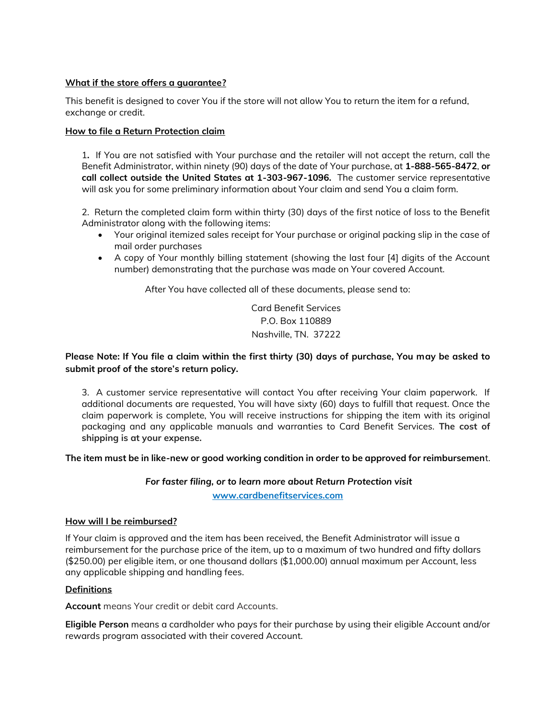# **What if the store offers a guarantee?**

This benefit is designed to cover You if the store will not allow You to return the item for a refund, exchange or credit.

### **How to file a Return Protection claim**

1**.** If You are not satisfied with Your purchase and the retailer will not accept the return, call the Benefit Administrator, within ninety (90) days of the date of Your purchase, at **1-888-565-8472**, **or call collect outside the United States at 1-303-967-1096.** The customer service representative will ask you for some preliminary information about Your claim and send You a claim form.

2. Return the completed claim form within thirty (30) days of the first notice of loss to the Benefit Administrator along with the following items:

- Your original itemized sales receipt for Your purchase or original packing slip in the case of mail order purchases
- A copy of Your monthly billing statement (showing the last four [4] digits of the Account number) demonstrating that the purchase was made on Your covered Account.

After You have collected all of these documents, please send to:

Card Benefit Services P.O. Box 110889 Nashville, TN. 37222

# **Please Note: If You file a claim within the first thirty (30) days of purchase, You may be asked to submit proof of the store's return policy.**

3. A customer service representative will contact You after receiving Your claim paperwork. If additional documents are requested, You will have sixty (60) days to fulfill that request. Once the claim paperwork is complete, You will receive instructions for shipping the item with its original packaging and any applicable manuals and warranties to Card Benefit Services. **The cost of shipping is at your expense.**

**The item must be in like-new or good working condition in order to be approved for reimbursemen**t.

# *For faster filing, or to learn more about Return Protection visit*

**[www.cardbenefitservices.com](http://www.cardbenefitservices.com/)**

### **How will I be reimbursed?**

If Your claim is approved and the item has been received, the Benefit Administrator will issue a reimbursement for the purchase price of the item, up to a maximum of two hundred and fifty dollars (\$250.00) per eligible item, or one thousand dollars (\$1,000.00) annual maximum per Account, less any applicable shipping and handling fees.

# **Definitions**

**Account** means Your credit or debit card Accounts.

**Eligible Person** means a cardholder who pays for their purchase by using their eligible Account and/or rewards program associated with their covered Account.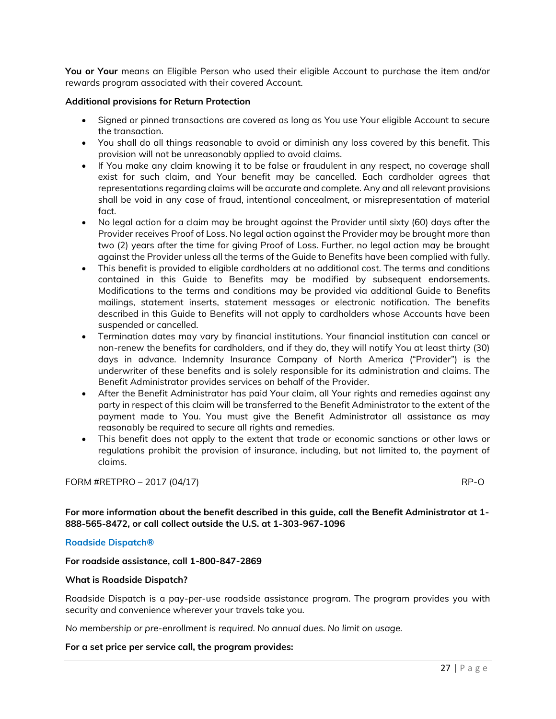**You or Your** means an Eligible Person who used their eligible Account to purchase the item and/or rewards program associated with their covered Account.

### **Additional provisions for Return Protection**

- Signed or pinned transactions are covered as long as You use Your eligible Account to secure the transaction.
- You shall do all things reasonable to avoid or diminish any loss covered by this benefit. This provision will not be unreasonably applied to avoid claims.
- If You make any claim knowing it to be false or fraudulent in any respect, no coverage shall exist for such claim, and Your benefit may be cancelled. Each cardholder agrees that representations regarding claims will be accurate and complete. Any and all relevant provisions shall be void in any case of fraud, intentional concealment, or misrepresentation of material fact.
- No legal action for a claim may be brought against the Provider until sixty (60) days after the Provider receives Proof of Loss. No legal action against the Provider may be brought more than two (2) years after the time for giving Proof of Loss. Further, no legal action may be brought against the Provider unless all the terms of the Guide to Benefits have been complied with fully.
- This benefit is provided to eligible cardholders at no additional cost. The terms and conditions contained in this Guide to Benefits may be modified by subsequent endorsements. Modifications to the terms and conditions may be provided via additional Guide to Benefits mailings, statement inserts, statement messages or electronic notification. The benefits described in this Guide to Benefits will not apply to cardholders whose Accounts have been suspended or cancelled.
- Termination dates may vary by financial institutions. Your financial institution can cancel or non-renew the benefits for cardholders, and if they do, they will notify You at least thirty (30) days in advance. Indemnity Insurance Company of North America ("Provider") is the underwriter of these benefits and is solely responsible for its administration and claims. The Benefit Administrator provides services on behalf of the Provider.
- After the Benefit Administrator has paid Your claim, all Your rights and remedies against any party in respect of this claim will be transferred to the Benefit Administrator to the extent of the payment made to You. You must give the Benefit Administrator all assistance as may reasonably be required to secure all rights and remedies.
- This benefit does not apply to the extent that trade or economic sanctions or other laws or regulations prohibit the provision of insurance, including, but not limited to, the payment of claims.

# FORM #RETPRO – 2017 (04/17) RP-O

**For more information about the benefit described in this guide, call the Benefit Administrator at 1- 888-565-8472, or call collect outside the U.S. at 1-303-967-1096**

# **Roadside Dispatch®**

**For roadside assistance, call 1-800-847-2869**

#### **What is Roadside Dispatch?**

Roadside Dispatch is a pay-per-use roadside assistance program. The program provides you with security and convenience wherever your travels take you.

*No membership or pre-enrollment is required. No annual dues. No limit on usage.*

#### **For a set price per service call, the program provides:**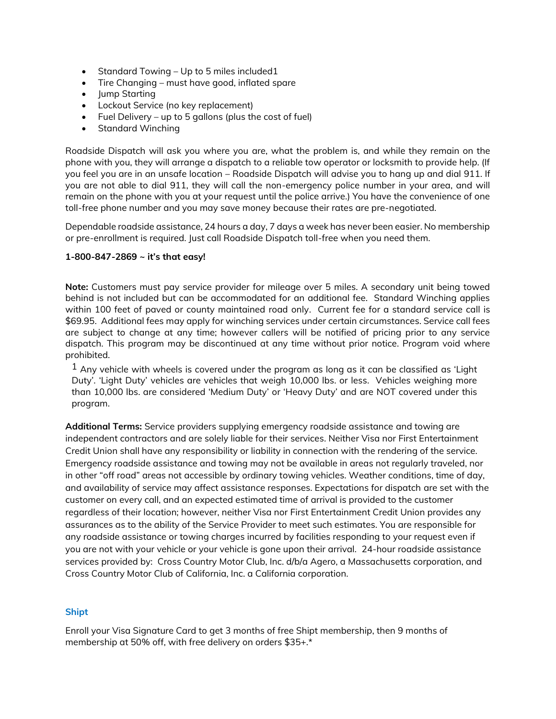- Standard Towing Up to 5 miles included 1
- Tire Changing must have good, inflated spare
- Jump Starting
- Lockout Service (no key replacement)
- Fuel Delivery up to 5 gallons (plus the cost of fuel)
- Standard Winching

Roadside Dispatch will ask you where you are, what the problem is, and while they remain on the phone with you, they will arrange a dispatch to a reliable tow operator or locksmith to provide help. (If you feel you are in an unsafe location – Roadside Dispatch will advise you to hang up and dial 911. If you are not able to dial 911, they will call the non-emergency police number in your area, and will remain on the phone with you at your request until the police arrive.) You have the convenience of one toll-free phone number and you may save money because their rates are pre-negotiated.

Dependable roadside assistance, 24 hours a day, 7 days a week has never been easier. No membership or pre-enrollment is required. Just call Roadside Dispatch toll-free when you need them.

### **1-800-847-2869 ~ it's that easy!**

**Note:** Customers must pay service provider for mileage over 5 miles. A secondary unit being towed behind is not included but can be accommodated for an additional fee. Standard Winching applies within 100 feet of paved or county maintained road only. Current fee for a standard service call is \$69.95. Additional fees may apply for winching services under certain circumstances. Service call fees are subject to change at any time; however callers will be notified of pricing prior to any service dispatch. This program may be discontinued at any time without prior notice. Program void where prohibited.

 $1$  Anv vehicle with wheels is covered under the program as long as it can be classified as 'Light Duty'. 'Light Duty' vehicles are vehicles that weigh 10,000 lbs. or less. Vehicles weighing more than 10,000 lbs. are considered 'Medium Duty' or 'Heavy Duty' and are NOT covered under this program.

**Additional Terms:** Service providers supplying emergency roadside assistance and towing are independent contractors and are solely liable for their services. Neither Visa nor First Entertainment Credit Union shall have any responsibility or liability in connection with the rendering of the service. Emergency roadside assistance and towing may not be available in areas not regularly traveled, nor in other "off road" areas not accessible by ordinary towing vehicles. Weather conditions, time of day, and availability of service may affect assistance responses. Expectations for dispatch are set with the customer on every call, and an expected estimated time of arrival is provided to the customer regardless of their location; however, neither Visa nor First Entertainment Credit Union provides any assurances as to the ability of the Service Provider to meet such estimates. You are responsible for any roadside assistance or towing charges incurred by facilities responding to your request even if you are not with your vehicle or your vehicle is gone upon their arrival. 24-hour roadside assistance services provided by: Cross Country Motor Club, Inc. d/b/a Agero, a Massachusetts corporation, and Cross Country Motor Club of California, Inc. a California corporation.

#### **Shipt**

Enroll your Visa Signature Card to get 3 months of free Shipt membership, then 9 months of membership at 50% off, with free delivery on orders \$35+.\*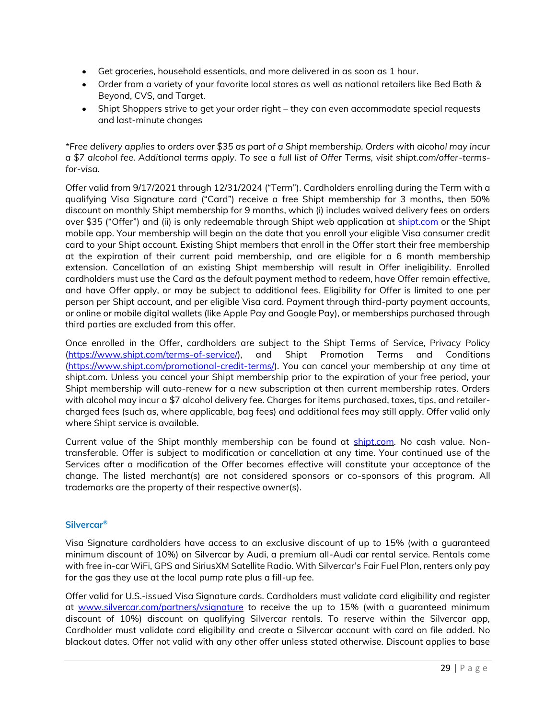- Get groceries, household essentials, and more delivered in as soon as 1 hour.
- Order from a variety of your favorite local stores as well as national retailers like Bed Bath & Beyond, CVS, and Target.
- Shipt Shoppers strive to get your order right they can even accommodate special requests and last-minute changes

*\*Free delivery applies to orders over \$35 as part of a Shipt membership. Orders with alcohol may incur a \$7 alcohol fee. Additional terms apply. To see a full list of Offer Terms, visit shipt.com/offer-termsfor-visa.*

Offer valid from 9/17/2021 through 12/31/2024 ("Term"). Cardholders enrolling during the Term with a qualifying Visa Signature card ("Card") receive a free Shipt membership for 3 months, then 50% discount on monthly Shipt membership for 9 months, which (i) includes waived delivery fees on orders over \$35 ("Offer") and (ii) is only redeemable through Shipt web application at [shipt.com](file:///C:/Users/jdoug/AppData/Local/Microsoft/Windows/INetCache/Content.Outlook/S9PPD51U/shipt.com) or the Shipt mobile app. Your membership will begin on the date that you enroll your eligible Visa consumer credit card to your Shipt account. Existing Shipt members that enroll in the Offer start their free membership at the expiration of their current paid membership, and are eligible for a 6 month membership extension. Cancellation of an existing Shipt membership will result in Offer ineligibility. Enrolled cardholders must use the Card as the default payment method to redeem, have Offer remain effective, and have Offer apply, or may be subject to additional fees. Eligibility for Offer is limited to one per person per Shipt account, and per eligible Visa card. Payment through third-party payment accounts, or online or mobile digital wallets (like Apple Pay and Google Pay), or memberships purchased through third parties are excluded from this offer.

Once enrolled in the Offer, cardholders are subject to the Shipt Terms of Service, Privacy Policy [\(https://www.shipt.com/terms-of-service/\)](https://www.shipt.com/terms-of-service/), and Shipt Promotion Terms and Conditions [\(https://www.shipt.com/promotional-credit-terms/\)](https://www.shipt.com/promotional-credit-terms/). You can cancel your membership at any time at shipt.com. Unless you cancel your Shipt membership prior to the expiration of your free period, your Shipt membership will auto-renew for a new subscription at then current membership rates. Orders with alcohol may incur a \$7 alcohol delivery fee. Charges for items purchased, taxes, tips, and retailercharged fees (such as, where applicable, bag fees) and additional fees may still apply. Offer valid only where Shipt service is available.

Current value of the Shipt monthly membership can be found at **shipt.com**. No cash value. Nontransferable. Offer is subject to modification or cancellation at any time. Your continued use of the Services after a modification of the Offer becomes effective will constitute your acceptance of the change. The listed merchant(s) are not considered sponsors or co-sponsors of this program. All trademarks are the property of their respective owner(s).

# **Silvercar®**

Visa Signature cardholders have access to an exclusive discount of up to 15% (with a guaranteed minimum discount of 10%) on Silvercar by Audi, a premium all-Audi car rental service. Rentals come with free in-car WiFi, GPS and SiriusXM Satellite Radio. With Silvercar's Fair Fuel Plan, renters only pay for the gas they use at the local pump rate plus a fill-up fee.

Offer valid for U.S.-issued Visa Signature cards. Cardholders must validate card eligibility and register at [www.silvercar.com/partners/vsignature](file:///C:/Users/jdoug/AppData/Local/Microsoft/Windows/INetCache/Content.Outlook/S9PPD51U/www.silvercar.com/partners/vsignature) to receive the up to 15% (with a guaranteed minimum discount of 10%) discount on qualifying Silvercar rentals. To reserve within the Silvercar app, Cardholder must validate card eligibility and create a Silvercar account with card on file added. No blackout dates. Offer not valid with any other offer unless stated otherwise. Discount applies to base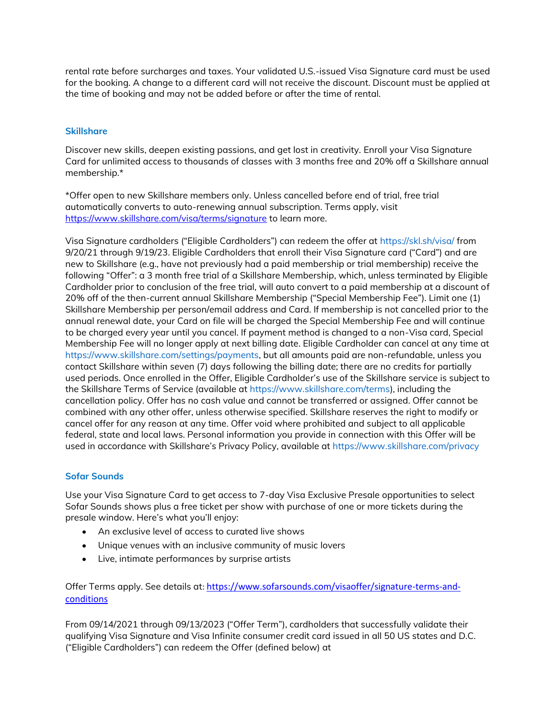rental rate before surcharges and taxes. Your validated U.S.-issued Visa Signature card must be used for the booking. A change to a different card will not receive the discount. Discount must be applied at the time of booking and may not be added before or after the time of rental.

# **Skillshare**

Discover new skills, deepen existing passions, and get lost in creativity. Enroll your Visa Signature Card for unlimited access to thousands of classes with 3 months free and 20% off a Skillshare annual membership.\*

\*Offer open to new Skillshare members only. Unless cancelled before end of trial, free trial automatically converts to auto-renewing annual subscription. Terms apply, visit <https://www.skillshare.com/visa/terms/signature> to learn more.

Visa Signature cardholders ("Eligible Cardholders") can redeem the offer at https://skl.sh/visa/ from 9/20/21 through 9/19/23. Eligible Cardholders that enroll their Visa Signature card ("Card") and are new to Skillshare (e.g., have not previously had a paid membership or trial membership) receive the following "Offer": a 3 month free trial of a Skillshare Membership, which, unless terminated by Eligible Cardholder prior to conclusion of the free trial, will auto convert to a paid membership at a discount of 20% off of the then-current annual Skillshare Membership ("Special Membership Fee"). Limit one (1) Skillshare Membership per person/email address and Card. If membership is not cancelled prior to the annual renewal date, your Card on file will be charged the Special Membership Fee and will continue to be charged every year until you cancel. If payment method is changed to a non-Visa card, Special Membership Fee will no longer apply at next billing date. Eligible Cardholder can cancel at any time at https://www.skillshare.com/settings/payments, but all amounts paid are non-refundable, unless you contact Skillshare within seven (7) days following the billing date; there are no credits for partially used periods. Once enrolled in the Offer, Eligible Cardholder's use of the Skillshare service is subject to the Skillshare Terms of Service (available at https://www.skillshare.com/terms), including the cancellation policy. Offer has no cash value and cannot be transferred or assigned. Offer cannot be combined with any other offer, unless otherwise specified. Skillshare reserves the right to modify or cancel offer for any reason at any time. Offer void where prohibited and subject to all applicable federal, state and local laws. Personal information you provide in connection with this Offer will be used in accordance with Skillshare's Privacy Policy, available at https://www.skillshare.com/privacy

# **Sofar Sounds**

Use your Visa Signature Card to get access to 7-day Visa Exclusive Presale opportunities to select Sofar Sounds shows plus a free ticket per show with purchase of one or more tickets during the presale window. Here's what you'll enjoy:

- An exclusive level of access to curated live shows
- Unique venues with an inclusive community of music lovers
- Live, intimate performances by surprise artists

Offer Terms apply. See details at: [https://www.sofarsounds.com/visaoffer/signature-terms-and](https://www.sofarsounds.com/visaoffer/signature-terms-and-conditions)[conditions](https://www.sofarsounds.com/visaoffer/signature-terms-and-conditions)

From 09/14/2021 through 09/13/2023 ("Offer Term"), cardholders that successfully validate their qualifying Visa Signature and Visa Infinite consumer credit card issued in all 50 US states and D.C. ("Eligible Cardholders") can redeem the Offer (defined below) at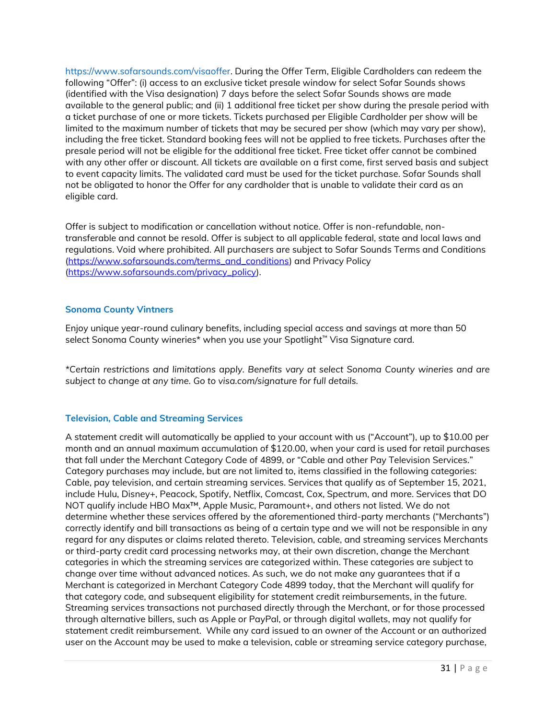https://www.sofarsounds.com/visaoffer. During the Offer Term, Eligible Cardholders can redeem the following "Offer": (i) access to an exclusive ticket presale window for select Sofar Sounds shows (identified with the Visa designation) 7 days before the select Sofar Sounds shows are made available to the general public; and (ii) 1 additional free ticket per show during the presale period with a ticket purchase of one or more tickets. Tickets purchased per Eligible Cardholder per show will be limited to the maximum number of tickets that may be secured per show (which may vary per show), including the free ticket. Standard booking fees will not be applied to free tickets. Purchases after the presale period will not be eligible for the additional free ticket. Free ticket offer cannot be combined with any other offer or discount. All tickets are available on a first come, first served basis and subject to event capacity limits. The validated card must be used for the ticket purchase. Sofar Sounds shall not be obligated to honor the Offer for any cardholder that is unable to validate their card as an eligible card.

Offer is subject to modification or cancellation without notice. Offer is non-refundable, nontransferable and cannot be resold. Offer is subject to all applicable federal, state and local laws and regulations. Void where prohibited. All purchasers are subject to Sofar Sounds Terms and Conditions [\(https://www.sofarsounds.com/terms\\_and\\_conditions\)](https://www.sofarsounds.com/terms_and_conditions) and Privacy Policy [\(https://www.sofarsounds.com/privacy\\_policy\)](https://www.sofarsounds.com/privacy_policy).

# **Sonoma County Vintners**

Enjoy unique year-round culinary benefits, including special access and savings at more than 50 select Sonoma County wineries\* when you use your Spotlight™ Visa Signature card.

*\*Certain restrictions and limitations apply. Benefits vary at select Sonoma County wineries and are subject to change at any time. Go to visa.com/signature for full details.* 

# **Television, Cable and Streaming Services**

A statement credit will automatically be applied to your account with us ("Account"), up to \$10.00 per month and an annual maximum accumulation of \$120.00, when your card is used for retail purchases that fall under the Merchant Category Code of 4899, or "Cable and other Pay Television Services." Category purchases may include, but are not limited to, items classified in the following categories: Cable, pay television, and certain streaming services. Services that qualify as of September 15, 2021, include Hulu, Disney+, Peacock, Spotify, Netflix, Comcast, Cox, Spectrum, and more. Services that DO NOT qualify include HBO Max™, Apple Music, Paramount+, and others not listed. We do not determine whether these services offered by the aforementioned third-party merchants ("Merchants") correctly identify and bill transactions as being of a certain type and we will not be responsible in any regard for any disputes or claims related thereto. Television, cable, and streaming services Merchants or third-party credit card processing networks may, at their own discretion, change the Merchant categories in which the streaming services are categorized within. These categories are subject to change over time without advanced notices. As such, we do not make any guarantees that if a Merchant is categorized in Merchant Category Code 4899 today, that the Merchant will qualify for that category code, and subsequent eligibility for statement credit reimbursements, in the future. Streaming services transactions not purchased directly through the Merchant, or for those processed through alternative billers, such as Apple or PayPal, or through digital wallets, may not qualify for statement credit reimbursement. While any card issued to an owner of the Account or an authorized user on the Account may be used to make a television, cable or streaming service category purchase,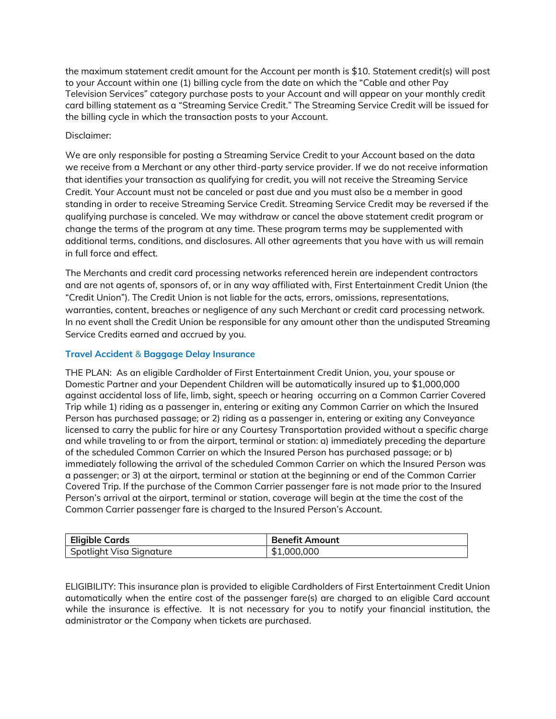the maximum statement credit amount for the Account per month is \$10. Statement credit(s) will post to your Account within one (1) billing cycle from the date on which the "Cable and other Pay Television Services" category purchase posts to your Account and will appear on your monthly credit card billing statement as a "Streaming Service Credit." The Streaming Service Credit will be issued for the billing cycle in which the transaction posts to your Account.

# Disclaimer:

We are only responsible for posting a Streaming Service Credit to your Account based on the data we receive from a Merchant or any other third-party service provider. If we do not receive information that identifies your transaction as qualifying for credit, you will not receive the Streaming Service Credit. Your Account must not be canceled or past due and you must also be a member in good standing in order to receive Streaming Service Credit. Streaming Service Credit may be reversed if the qualifying purchase is canceled. We may withdraw or cancel the above statement credit program or change the terms of the program at any time. These program terms may be supplemented with additional terms, conditions, and disclosures. All other agreements that you have with us will remain in full force and effect.

The Merchants and credit card processing networks referenced herein are independent contractors and are not agents of, sponsors of, or in any way affiliated with, First Entertainment Credit Union (the "Credit Union"). The Credit Union is not liable for the acts, errors, omissions, representations, warranties, content, breaches or negligence of any such Merchant or credit card processing network. In no event shall the Credit Union be responsible for any amount other than the undisputed Streaming Service Credits earned and accrued by you.

# **Travel Accident** & **Baggage Delay Insurance**

THE PLAN: As an eligible Cardholder of First Entertainment Credit Union, you, your spouse or Domestic Partner and your Dependent Children will be automatically insured up to \$1,000,000 against accidental loss of life, limb, sight, speech or hearing occurring on a Common Carrier Covered Trip while 1) riding as a passenger in, entering or exiting any Common Carrier on which the Insured Person has purchased passage; or 2) riding as a passenger in, entering or exiting any Conveyance licensed to carry the public for hire or any Courtesy Transportation provided without a specific charge and while traveling to or from the airport, terminal or station: a) immediately preceding the departure of the scheduled Common Carrier on which the Insured Person has purchased passage; or b) immediately following the arrival of the scheduled Common Carrier on which the Insured Person was a passenger; or 3) at the airport, terminal or station at the beginning or end of the Common Carrier Covered Trip. If the purchase of the Common Carrier passenger fare is not made prior to the Insured Person's arrival at the airport, terminal or station, coverage will begin at the time the cost of the Common Carrier passenger fare is charged to the Insured Person's Account.

| <b>Eligible Cards</b>    | <b>Benefit Amount</b> |
|--------------------------|-----------------------|
| Spotlight Visa Signature | \$1,000,000           |

ELIGIBILITY: This insurance plan is provided to eligible Cardholders of First Entertainment Credit Union automatically when the entire cost of the passenger fare(s) are charged to an eligible Card account while the insurance is effective. It is not necessary for you to notify your financial institution, the administrator or the Company when tickets are purchased.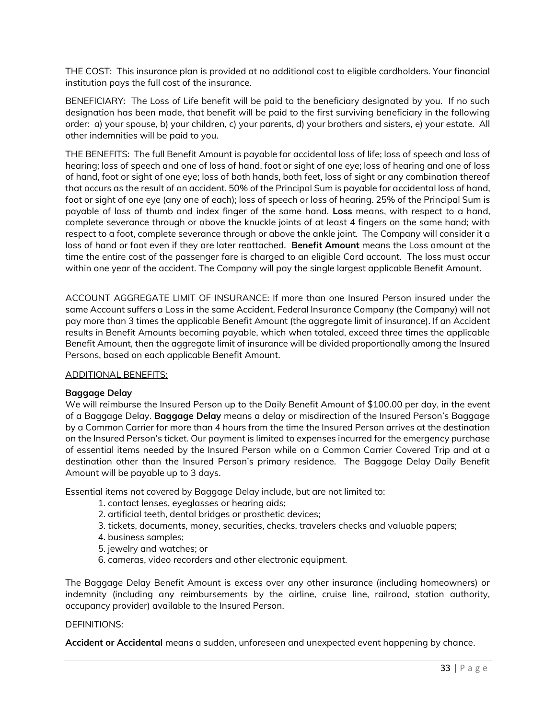THE COST: This insurance plan is provided at no additional cost to eligible cardholders. Your financial institution pays the full cost of the insurance.

BENEFICIARY: The Loss of Life benefit will be paid to the beneficiary designated by you. If no such designation has been made, that benefit will be paid to the first surviving beneficiary in the following order: a) your spouse, b) your children, c) your parents, d) your brothers and sisters, e) your estate. All other indemnities will be paid to you.

THE BENEFITS: The full Benefit Amount is payable for accidental loss of life; loss of speech and loss of hearing; loss of speech and one of loss of hand, foot or sight of one eye; loss of hearing and one of loss of hand, foot or sight of one eye; loss of both hands, both feet, loss of sight or any combination thereof that occurs as the result of an accident. 50% of the Principal Sum is payable for accidental loss of hand, foot or sight of one eye (any one of each); loss of speech or loss of hearing. 25% of the Principal Sum is payable of loss of thumb and index finger of the same hand. **Loss** means, with respect to a hand, complete severance through or above the knuckle joints of at least 4 fingers on the same hand; with respect to a foot, complete severance through or above the ankle joint. The Company will consider it a loss of hand or foot even if they are later reattached. **Benefit Amount** means the Loss amount at the time the entire cost of the passenger fare is charged to an eligible Card account. The loss must occur within one year of the accident. The Company will pay the single largest applicable Benefit Amount.

ACCOUNT AGGREGATE LIMIT OF INSURANCE: If more than one Insured Person insured under the same Account suffers a Loss in the same Accident, Federal Insurance Company (the Company) will not pay more than 3 times the applicable Benefit Amount (the aggregate limit of insurance). If an Accident results in Benefit Amounts becoming payable, which when totaled, exceed three times the applicable Benefit Amount, then the aggregate limit of insurance will be divided proportionally among the Insured Persons, based on each applicable Benefit Amount.

# ADDITIONAL BENEFITS:

# **Baggage Delay**

We will reimburse the Insured Person up to the Daily Benefit Amount of \$100.00 per day, in the event of a Baggage Delay. **Baggage Delay** means a delay or misdirection of the Insured Person's Baggage by a Common Carrier for more than 4 hours from the time the Insured Person arrives at the destination on the Insured Person's ticket. Our payment is limited to expenses incurred for the emergency purchase of essential items needed by the Insured Person while on a Common Carrier Covered Trip and at a destination other than the Insured Person's primary residence. The Baggage Delay Daily Benefit Amount will be payable up to 3 days.

Essential items not covered by Baggage Delay include, but are not limited to:

- 1. contact lenses, eyeglasses or hearing aids;
- 2. artificial teeth, dental bridges or prosthetic devices;
- 3. tickets, documents, money, securities, checks, travelers checks and valuable papers;
- 4. business samples;
- 5. jewelry and watches; or
- 6. cameras, video recorders and other electronic equipment.

The Baggage Delay Benefit Amount is excess over any other insurance (including homeowners) or indemnity (including any reimbursements by the airline, cruise line, railroad, station authority, occupancy provider) available to the Insured Person.

### DEFINITIONS:

**Accident or Accidental** means a sudden, unforeseen and unexpected event happening by chance.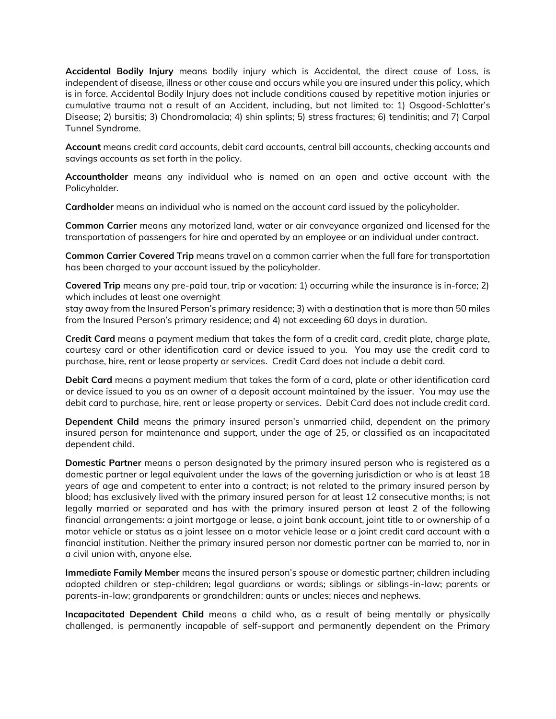**Accidental Bodily Injury** means bodily injury which is Accidental, the direct cause of Loss, is independent of disease, illness or other cause and occurs while you are insured under this policy, which is in force. Accidental Bodily Injury does not include conditions caused by repetitive motion injuries or cumulative trauma not a result of an Accident, including, but not limited to: 1) Osgood-Schlatter's Disease; 2) bursitis; 3) Chondromalacia; 4) shin splints; 5) stress fractures; 6) tendinitis; and 7) Carpal Tunnel Syndrome.

**Account** means credit card accounts, debit card accounts, central bill accounts, checking accounts and savings accounts as set forth in the policy.

**Accountholder** means any individual who is named on an open and active account with the Policyholder.

**Cardholder** means an individual who is named on the account card issued by the policyholder.

**Common Carrier** means any motorized land, water or air conveyance organized and licensed for the transportation of passengers for hire and operated by an employee or an individual under contract.

**Common Carrier Covered Trip** means travel on a common carrier when the full fare for transportation has been charged to your account issued by the policyholder.

**Covered Trip** means any pre-paid tour, trip or vacation: 1) occurring while the insurance is in-force; 2) which includes at least one overnight

stay away from the Insured Person's primary residence; 3) with a destination that is more than 50 miles from the Insured Person's primary residence; and 4) not exceeding 60 days in duration.

**Credit Card** means a payment medium that takes the form of a credit card, credit plate, charge plate, courtesy card or other identification card or device issued to you. You may use the credit card to purchase, hire, rent or lease property or services. Credit Card does not include a debit card.

**Debit Card** means a payment medium that takes the form of a card, plate or other identification card or device issued to you as an owner of a deposit account maintained by the issuer. You may use the debit card to purchase, hire, rent or lease property or services. Debit Card does not include credit card.

**Dependent Child** means the primary insured person's unmarried child, dependent on the primary insured person for maintenance and support, under the age of 25, or classified as an incapacitated dependent child.

**Domestic Partner** means a person designated by the primary insured person who is registered as a domestic partner or legal equivalent under the laws of the governing jurisdiction or who is at least 18 years of age and competent to enter into a contract; is not related to the primary insured person by blood; has exclusively lived with the primary insured person for at least 12 consecutive months; is not legally married or separated and has with the primary insured person at least 2 of the following financial arrangements: a joint mortgage or lease, a joint bank account, joint title to or ownership of a motor vehicle or status as a joint lessee on a motor vehicle lease or a joint credit card account with a financial institution. Neither the primary insured person nor domestic partner can be married to, nor in a civil union with, anyone else.

**Immediate Family Member** means the insured person's spouse or domestic partner; children including adopted children or step-children; legal guardians or wards; siblings or siblings-in-law; parents or parents-in-law; grandparents or grandchildren; aunts or uncles; nieces and nephews.

**Incapacitated Dependent Child** means a child who, as a result of being mentally or physically challenged, is permanently incapable of self-support and permanently dependent on the Primary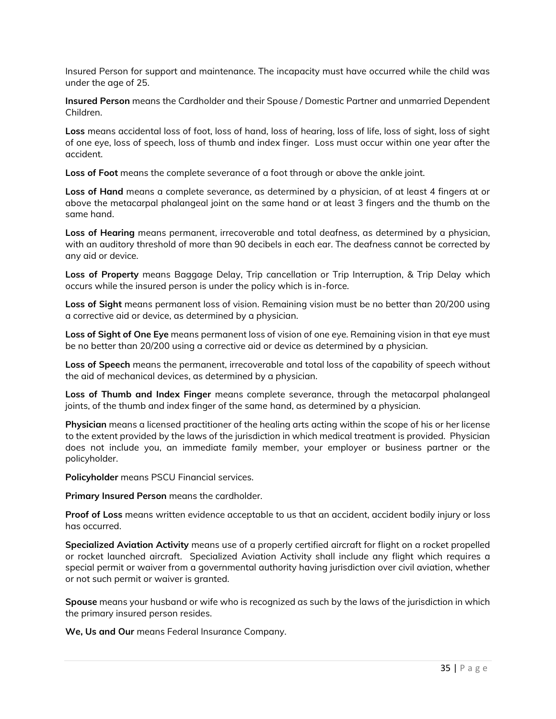Insured Person for support and maintenance. The incapacity must have occurred while the child was under the age of 25.

**Insured Person** means the Cardholder and their Spouse / Domestic Partner and unmarried Dependent Children.

**Loss** means accidental loss of foot, loss of hand, loss of hearing, loss of life, loss of sight, loss of sight of one eye, loss of speech, loss of thumb and index finger. Loss must occur within one year after the accident.

**Loss of Foot** means the complete severance of a foot through or above the ankle joint.

**Loss of Hand** means a complete severance, as determined by a physician, of at least 4 fingers at or above the metacarpal phalangeal joint on the same hand or at least 3 fingers and the thumb on the same hand.

**Loss of Hearing** means permanent, irrecoverable and total deafness, as determined by a physician, with an auditory threshold of more than 90 decibels in each ear. The deafness cannot be corrected by any aid or device.

**Loss of Property** means Baggage Delay, Trip cancellation or Trip Interruption, & Trip Delay which occurs while the insured person is under the policy which is in-force.

**Loss of Sight** means permanent loss of vision. Remaining vision must be no better than 20/200 using a corrective aid or device, as determined by a physician.

**Loss of Sight of One Eye** means permanent loss of vision of one eye. Remaining vision in that eye must be no better than 20/200 using a corrective aid or device as determined by a physician.

**Loss of Speech** means the permanent, irrecoverable and total loss of the capability of speech without the aid of mechanical devices, as determined by a physician.

**Loss of Thumb and Index Finger** means complete severance, through the metacarpal phalangeal joints, of the thumb and index finger of the same hand, as determined by a physician.

**Physician** means a licensed practitioner of the healing arts acting within the scope of his or her license to the extent provided by the laws of the jurisdiction in which medical treatment is provided. Physician does not include you, an immediate family member, your employer or business partner or the policyholder.

**Policyholder** means PSCU Financial services.

**Primary Insured Person** means the cardholder.

**Proof of Loss** means written evidence acceptable to us that an accident, accident bodily injury or loss has occurred.

**Specialized Aviation Activity** means use of a properly certified aircraft for flight on a rocket propelled or rocket launched aircraft. Specialized Aviation Activity shall include any flight which requires a special permit or waiver from a governmental authority having jurisdiction over civil aviation, whether or not such permit or waiver is granted.

**Spouse** means your husband or wife who is recognized as such by the laws of the jurisdiction in which the primary insured person resides.

**We, Us and Our** means Federal Insurance Company.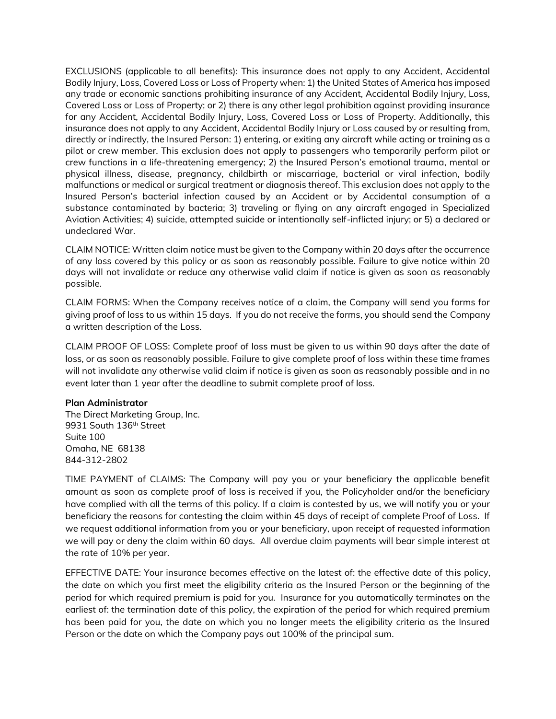EXCLUSIONS (applicable to all benefits): This insurance does not apply to any Accident, Accidental Bodily Injury, Loss, Covered Loss or Loss of Property when: 1) the United States of America has imposed any trade or economic sanctions prohibiting insurance of any Accident, Accidental Bodily Injury, Loss, Covered Loss or Loss of Property; or 2) there is any other legal prohibition against providing insurance for any Accident, Accidental Bodily Injury, Loss, Covered Loss or Loss of Property. Additionally, this insurance does not apply to any Accident, Accidental Bodily Injury or Loss caused by or resulting from, directly or indirectly, the Insured Person: 1) entering, or exiting any aircraft while acting or training as a pilot or crew member. This exclusion does not apply to passengers who temporarily perform pilot or crew functions in a life-threatening emergency; 2) the Insured Person's emotional trauma, mental or physical illness, disease, pregnancy, childbirth or miscarriage, bacterial or viral infection, bodily malfunctions or medical or surgical treatment or diagnosis thereof. This exclusion does not apply to the Insured Person's bacterial infection caused by an Accident or by Accidental consumption of a substance contaminated by bacteria; 3) traveling or flying on any aircraft engaged in Specialized Aviation Activities; 4) suicide, attempted suicide or intentionally self-inflicted injury; or 5) a declared or undeclared War.

CLAIM NOTICE: Written claim notice must be given to the Company within 20 days after the occurrence of any loss covered by this policy or as soon as reasonably possible. Failure to give notice within 20 days will not invalidate or reduce any otherwise valid claim if notice is given as soon as reasonably possible.

CLAIM FORMS: When the Company receives notice of a claim, the Company will send you forms for giving proof of loss to us within 15 days. If you do not receive the forms, you should send the Company a written description of the Loss.

CLAIM PROOF OF LOSS: Complete proof of loss must be given to us within 90 days after the date of loss, or as soon as reasonably possible. Failure to give complete proof of loss within these time frames will not invalidate any otherwise valid claim if notice is given as soon as reasonably possible and in no event later than 1 year after the deadline to submit complete proof of loss.

#### **Plan Administrator**

The Direct Marketing Group, Inc. 9931 South 136<sup>th</sup> Street Suite 100 Omaha, NE 68138 844-312-2802

TIME PAYMENT of CLAIMS: The Company will pay you or your beneficiary the applicable benefit amount as soon as complete proof of loss is received if you, the Policyholder and/or the beneficiary have complied with all the terms of this policy. If a claim is contested by us, we will notify you or your beneficiary the reasons for contesting the claim within 45 days of receipt of complete Proof of Loss. If we request additional information from you or your beneficiary, upon receipt of requested information we will pay or deny the claim within 60 days. All overdue claim payments will bear simple interest at the rate of 10% per year.

EFFECTIVE DATE: Your insurance becomes effective on the latest of: the effective date of this policy, the date on which you first meet the eligibility criteria as the Insured Person or the beginning of the period for which required premium is paid for you. Insurance for you automatically terminates on the earliest of: the termination date of this policy, the expiration of the period for which required premium has been paid for you, the date on which you no longer meets the eligibility criteria as the Insured Person or the date on which the Company pays out 100% of the principal sum.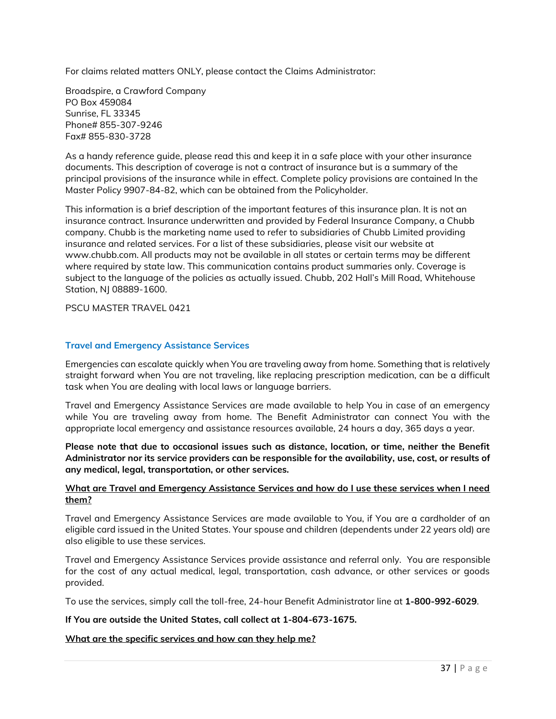For claims related matters ONLY, please contact the Claims Administrator:

Broadspire, a Crawford Company PO Box 459084 Sunrise, FL 33345 Phone# 855-307-9246 Fax# 855-830-3728

As a handy reference guide, please read this and keep it in a safe place with your other insurance documents. This description of coverage is not a contract of insurance but is a summary of the principal provisions of the insurance while in effect. Complete policy provisions are contained In the Master Policy 9907-84-82, which can be obtained from the Policyholder.

This information is a brief description of the important features of this insurance plan. It is not an insurance contract. Insurance underwritten and provided by Federal Insurance Company, a Chubb company. Chubb is the marketing name used to refer to subsidiaries of Chubb Limited providing insurance and related services. For a list of these subsidiaries, please visit our website at www.chubb.com. All products may not be available in all states or certain terms may be different where required by state law. This communication contains product summaries only. Coverage is subject to the language of the policies as actually issued. Chubb, 202 Hall's Mill Road, Whitehouse Station, NJ 08889-1600.

PSCU MASTER TRAVEL 0421

### **Travel and Emergency Assistance Services**

Emergencies can escalate quickly when You are traveling away from home. Something that is relatively straight forward when You are not traveling, like replacing prescription medication, can be a difficult task when You are dealing with local laws or language barriers.

Travel and Emergency Assistance Services are made available to help You in case of an emergency while You are traveling away from home. The Benefit Administrator can connect You with the appropriate local emergency and assistance resources available, 24 hours a day, 365 days a year.

**Please note that due to occasional issues such as distance, location, or time, neither the Benefit Administrator nor its service providers can be responsible for the availability, use, cost, or results of any medical, legal, transportation, or other services.** 

### **What are Travel and Emergency Assistance Services and how do I use these services when I need them?**

Travel and Emergency Assistance Services are made available to You, if You are a cardholder of an eligible card issued in the United States. Your spouse and children (dependents under 22 years old) are also eligible to use these services.

Travel and Emergency Assistance Services provide assistance and referral only. You are responsible for the cost of any actual medical, legal, transportation, cash advance, or other services or goods provided.

To use the services, simply call the toll-free, 24-hour Benefit Administrator line at **1-800-992-6029**.

# **If You are outside the United States, call collect at 1-804-673-1675.**

# **What are the specific services and how can they help me?**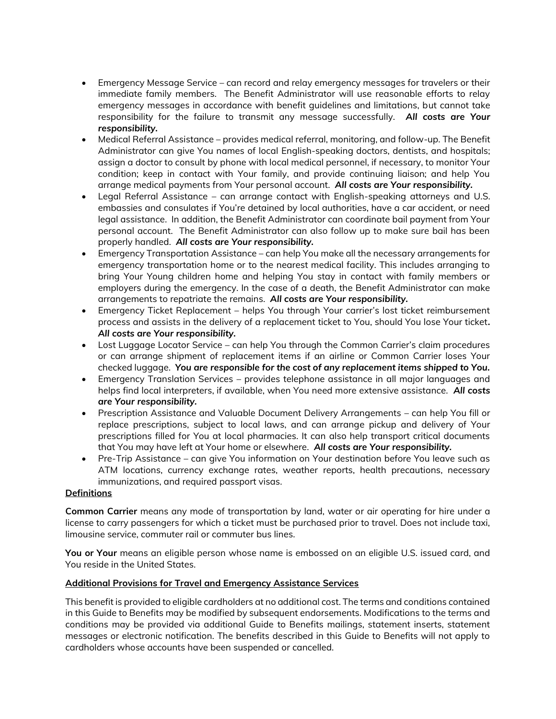- Emergency Message Service can record and relay emergency messages for travelers or their immediate family members. The Benefit Administrator will use reasonable efforts to relay emergency messages in accordance with benefit guidelines and limitations, but cannot take responsibility for the failure to transmit any message successfully. *All costs are Your responsibility.*
- Medical Referral Assistance provides medical referral, monitoring, and follow-up. The Benefit Administrator can give You names of local English-speaking doctors, dentists, and hospitals; assign a doctor to consult by phone with local medical personnel, if necessary, to monitor Your condition; keep in contact with Your family, and provide continuing liaison; and help You arrange medical payments from Your personal account. *All costs are Your responsibility.*
- Legal Referral Assistance can arrange contact with English-speaking attorneys and U.S. embassies and consulates if You're detained by local authorities, have a car accident, or need legal assistance. In addition, the Benefit Administrator can coordinate bail payment from Your personal account. The Benefit Administrator can also follow up to make sure bail has been properly handled. *All costs are Your responsibility.*
- Emergency Transportation Assistance can help You make all the necessary arrangements for emergency transportation home or to the nearest medical facility. This includes arranging to bring Your Young children home and helping You stay in contact with family members or employers during the emergency. In the case of a death, the Benefit Administrator can make arrangements to repatriate the remains. *All costs are Your responsibility.*
- Emergency Ticket Replacement helps You through Your carrier's lost ticket reimbursement process and assists in the delivery of a replacement ticket to You, should You lose Your ticket**.**  *All costs are Your responsibility.*
- Lost Luggage Locator Service can help You through the Common Carrier's claim procedures or can arrange shipment of replacement items if an airline or Common Carrier loses Your checked luggage. *You are responsible for the cost of any replacement items shipped to You.*
- Emergency Translation Services provides telephone assistance in all major languages and helps find local interpreters, if available, when You need more extensive assistance. *All costs are Your responsibility.*
- Prescription Assistance and Valuable Document Delivery Arrangements can help You fill or replace prescriptions, subject to local laws, and can arrange pickup and delivery of Your prescriptions filled for You at local pharmacies. It can also help transport critical documents that You may have left at Your home or elsewhere. *All costs are Your responsibility.*
- Pre-Trip Assistance can give You information on Your destination before You leave such as ATM locations, currency exchange rates, weather reports, health precautions, necessary immunizations, and required passport visas.

# **Definitions**

**Common Carrier** means any mode of transportation by land, water or air operating for hire under a license to carry passengers for which a ticket must be purchased prior to travel. Does not include taxi, limousine service, commuter rail or commuter bus lines.

**You or Your** means an eligible person whose name is embossed on an eligible U.S. issued card, and You reside in the United States.

# **Additional Provisions for Travel and Emergency Assistance Services**

This benefit is provided to eligible cardholders at no additional cost. The terms and conditions contained in this Guide to Benefits may be modified by subsequent endorsements. Modifications to the terms and conditions may be provided via additional Guide to Benefits mailings, statement inserts, statement messages or electronic notification. The benefits described in this Guide to Benefits will not apply to cardholders whose accounts have been suspended or cancelled.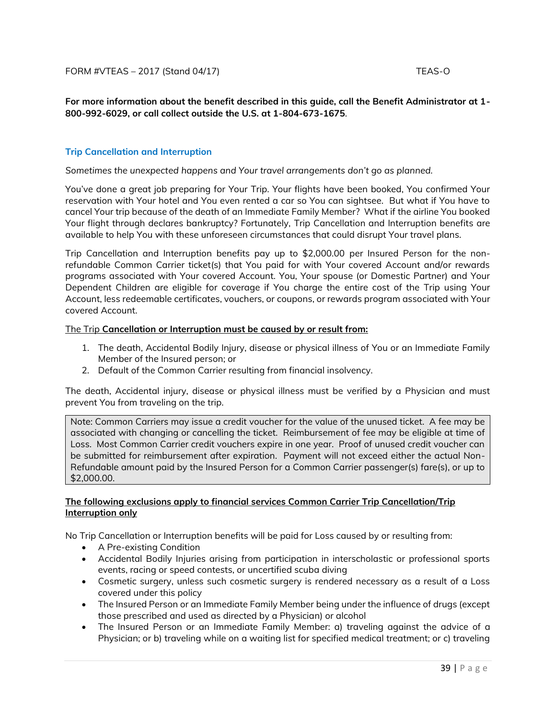**For more information about the benefit described in this guide, call the Benefit Administrator at 1- 800-992-6029, or call collect outside the U.S. at 1-804-673-1675**.

# **Trip Cancellation and Interruption**

*Sometimes the unexpected happens and Your travel arrangements don't go as planned.*

You've done a great job preparing for Your Trip. Your flights have been booked, You confirmed Your reservation with Your hotel and You even rented a car so You can sightsee. But what if You have to cancel Your trip because of the death of an Immediate Family Member? What if the airline You booked Your flight through declares bankruptcy? Fortunately, Trip Cancellation and Interruption benefits are available to help You with these unforeseen circumstances that could disrupt Your travel plans.

Trip Cancellation and Interruption benefits pay up to \$2,000.00 per Insured Person for the nonrefundable Common Carrier ticket(s) that You paid for with Your covered Account and/or rewards programs associated with Your covered Account. You, Your spouse (or Domestic Partner) and Your Dependent Children are eligible for coverage if You charge the entire cost of the Trip using Your Account, less redeemable certificates, vouchers, or coupons, or rewards program associated with Your covered Account.

### The Trip **Cancellation or Interruption must be caused by or result from:**

- 1. The death, Accidental Bodily Injury, disease or physical illness of You or an Immediate Family Member of the Insured person; or
- 2. Default of the Common Carrier resulting from financial insolvency.

The death, Accidental injury, disease or physical illness must be verified by a Physician and must prevent You from traveling on the trip.

Note: Common Carriers may issue a credit voucher for the value of the unused ticket. A fee may be associated with changing or cancelling the ticket. Reimbursement of fee may be eligible at time of Loss. Most Common Carrier credit vouchers expire in one year. Proof of unused credit voucher can be submitted for reimbursement after expiration. Payment will not exceed either the actual Non-Refundable amount paid by the Insured Person for a Common Carrier passenger(s) fare(s), or up to \$2,000.00.

### **The following exclusions apply to financial services Common Carrier Trip Cancellation/Trip Interruption only**

No Trip Cancellation or Interruption benefits will be paid for Loss caused by or resulting from:

- A Pre-existing Condition
- Accidental Bodily Injuries arising from participation in interscholastic or professional sports events, racing or speed contests, or uncertified scuba diving
- Cosmetic surgery, unless such cosmetic surgery is rendered necessary as a result of a Loss covered under this policy
- The Insured Person or an Immediate Family Member being under the influence of drugs (except those prescribed and used as directed by a Physician) or alcohol
- The Insured Person or an Immediate Family Member: a) traveling against the advice of a Physician; or b) traveling while on a waiting list for specified medical treatment; or c) traveling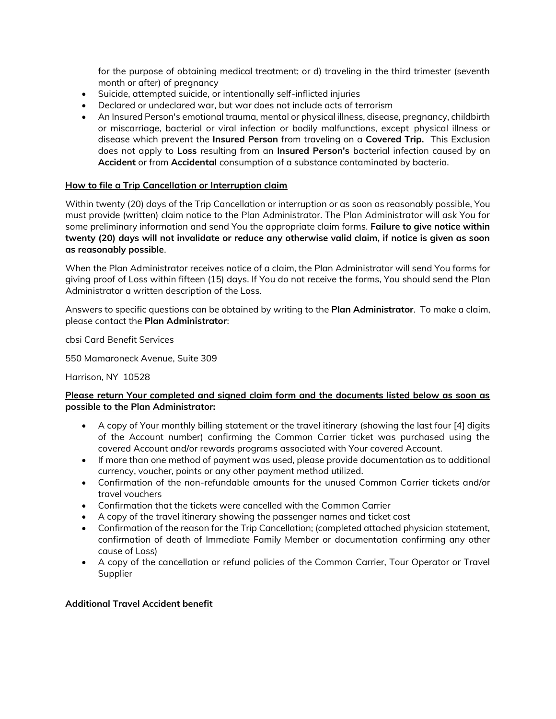for the purpose of obtaining medical treatment; or d) traveling in the third trimester (seventh month or after) of pregnancy

- Suicide, attempted suicide, or intentionally self-inflicted injuries
- Declared or undeclared war, but war does not include acts of terrorism
- An Insured Person's emotional trauma, mental or physical illness, disease, pregnancy, childbirth or miscarriage, bacterial or viral infection or bodily malfunctions, except physical illness or disease which prevent the **Insured Person** from traveling on a **Covered Trip.** This Exclusion does not apply to **Loss** resulting from an **Insured Person's** bacterial infection caused by an **Accident** or from **Accidental** consumption of a substance contaminated by bacteria.

# **How to file a Trip Cancellation or Interruption claim**

Within twenty (20) days of the Trip Cancellation or interruption or as soon as reasonably possible, You must provide (written) claim notice to the Plan Administrator. The Plan Administrator will ask You for some preliminary information and send You the appropriate claim forms. **Failure to give notice within twenty (20) days will not invalidate or reduce any otherwise valid claim, if notice is given as soon as reasonably possible**.

When the Plan Administrator receives notice of a claim, the Plan Administrator will send You forms for giving proof of Loss within fifteen (15) days. If You do not receive the forms, You should send the Plan Administrator a written description of the Loss.

Answers to specific questions can be obtained by writing to the **Plan Administrator**. To make a claim, please contact the **Plan Administrator**:

cbsi Card Benefit Services

550 Mamaroneck Avenue, Suite 309

Harrison, NY 10528

# **Please return Your completed and signed claim form and the documents listed below as soon as possible to the Plan Administrator:**

- A copy of Your monthly billing statement or the travel itinerary (showing the last four [4] digits of the Account number) confirming the Common Carrier ticket was purchased using the covered Account and/or rewards programs associated with Your covered Account.
- If more than one method of payment was used, please provide documentation as to additional currency, voucher, points or any other payment method utilized.
- Confirmation of the non-refundable amounts for the unused Common Carrier tickets and/or travel vouchers
- Confirmation that the tickets were cancelled with the Common Carrier
- A copy of the travel itinerary showing the passenger names and ticket cost
- Confirmation of the reason for the Trip Cancellation; (completed attached physician statement, confirmation of death of Immediate Family Member or documentation confirming any other cause of Loss)
- A copy of the cancellation or refund policies of the Common Carrier, Tour Operator or Travel Supplier

# **Additional Travel Accident benefit**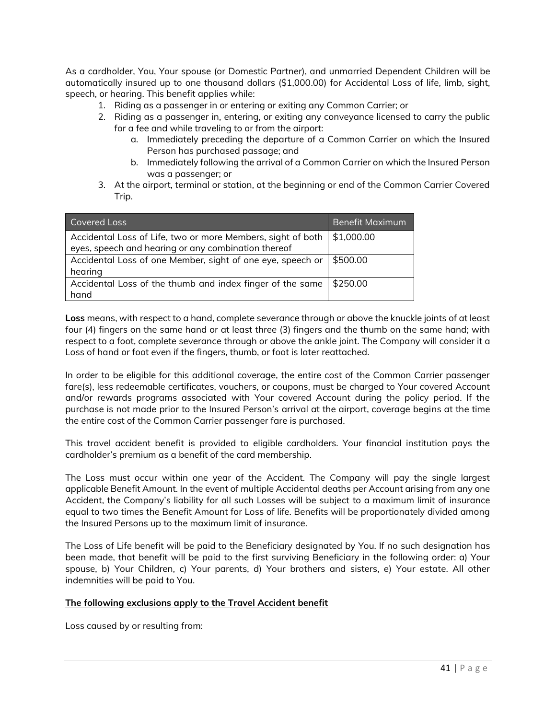As a cardholder, You, Your spouse (or Domestic Partner), and unmarried Dependent Children will be automatically insured up to one thousand dollars (\$1,000.00) for Accidental Loss of life, limb, sight, speech, or hearing. This benefit applies while:

- 1. Riding as a passenger in or entering or exiting any Common Carrier; or
- 2. Riding as a passenger in, entering, or exiting any conveyance licensed to carry the public for a fee and while traveling to or from the airport:
	- a. Immediately preceding the departure of a Common Carrier on which the Insured Person has purchased passage; and
	- b. Immediately following the arrival of a Common Carrier on which the Insured Person was a passenger; or
- 3. At the airport, terminal or station, at the beginning or end of the Common Carrier Covered Trip.

| Covered Loss                                                | Benefit Maximum |
|-------------------------------------------------------------|-----------------|
| Accidental Loss of Life, two or more Members, sight of both | \$1,000.00      |
| eyes, speech and hearing or any combination thereof         |                 |
| Accidental Loss of one Member, sight of one eye, speech or  | \$500.00        |
| hearing                                                     |                 |
| Accidental Loss of the thumb and index finger of the same   | \$250.00        |
| hand                                                        |                 |

**Loss** means, with respect to a hand, complete severance through or above the knuckle joints of at least four (4) fingers on the same hand or at least three (3) fingers and the thumb on the same hand; with respect to a foot, complete severance through or above the ankle joint. The Company will consider it a Loss of hand or foot even if the fingers, thumb, or foot is later reattached.

In order to be eligible for this additional coverage, the entire cost of the Common Carrier passenger fare(s), less redeemable certificates, vouchers, or coupons, must be charged to Your covered Account and/or rewards programs associated with Your covered Account during the policy period. If the purchase is not made prior to the Insured Person's arrival at the airport, coverage begins at the time the entire cost of the Common Carrier passenger fare is purchased.

This travel accident benefit is provided to eligible cardholders. Your financial institution pays the cardholder's premium as a benefit of the card membership.

The Loss must occur within one year of the Accident. The Company will pay the single largest applicable Benefit Amount. In the event of multiple Accidental deaths per Account arising from any one Accident, the Company's liability for all such Losses will be subject to a maximum limit of insurance equal to two times the Benefit Amount for Loss of life. Benefits will be proportionately divided among the Insured Persons up to the maximum limit of insurance.

The Loss of Life benefit will be paid to the Beneficiary designated by You. If no such designation has been made, that benefit will be paid to the first surviving Beneficiary in the following order: a) Your spouse, b) Your Children, c) Your parents, d) Your brothers and sisters, e) Your estate. All other indemnities will be paid to You.

# **The following exclusions apply to the Travel Accident benefit**

Loss caused by or resulting from: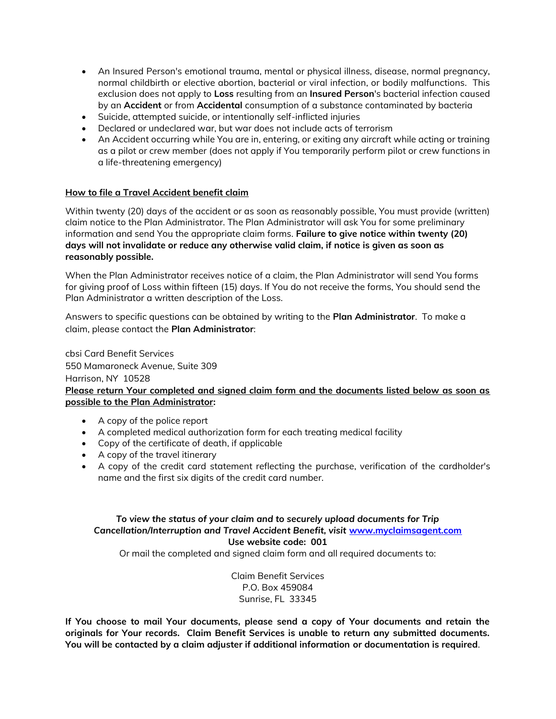- An Insured Person's emotional trauma, mental or physical illness, disease, normal pregnancy, normal childbirth or elective abortion, bacterial or viral infection, or bodily malfunctions. This exclusion does not apply to **Loss** resulting from an **Insured Person**'s bacterial infection caused by an **Accident** or from **Accidental** consumption of a substance contaminated by bacteria
- Suicide, attempted suicide, or intentionally self-inflicted injuries
- Declared or undeclared war, but war does not include acts of terrorism
- An Accident occurring while You are in, entering, or exiting any aircraft while acting or training as a pilot or crew member (does not apply if You temporarily perform pilot or crew functions in a life-threatening emergency)

### **How to file a Travel Accident benefit claim**

Within twenty (20) days of the accident or as soon as reasonably possible, You must provide (written) claim notice to the Plan Administrator. The Plan Administrator will ask You for some preliminary information and send You the appropriate claim forms. **Failure to give notice within twenty (20) days will not invalidate or reduce any otherwise valid claim, if notice is given as soon as reasonably possible.** 

When the Plan Administrator receives notice of a claim, the Plan Administrator will send You forms for giving proof of Loss within fifteen (15) days. If You do not receive the forms, You should send the Plan Administrator a written description of the Loss.

Answers to specific questions can be obtained by writing to the **Plan Administrator**. To make a claim, please contact the **Plan Administrator**:

cbsi Card Benefit Services 550 Mamaroneck Avenue, Suite 309 Harrison, NY 10528 **Please return Your completed and signed claim form and the documents listed below as soon as possible to the Plan Administrator:**

- A copy of the police report
- A completed medical authorization form for each treating medical facility
- Copy of the certificate of death, if applicable
- A copy of the travel itinerary
- A copy of the credit card statement reflecting the purchase, verification of the cardholder's name and the first six digits of the credit card number.

*To view the status of your claim and to securely upload documents for Trip Cancellation/Interruption and Travel Accident Benefit, visit* **[www.myclaimsagent.com](http://www.myclaimsagent.com/) Use website code: 001** Or mail the completed and signed claim form and all required documents to:

> Claim Benefit Services P.O. Box 459084 Sunrise, FL 33345

**If You choose to mail Your documents, please send a copy of Your documents and retain the originals for Your records. Claim Benefit Services is unable to return any submitted documents. You will be contacted by a claim adjuster if additional information or documentation is required**.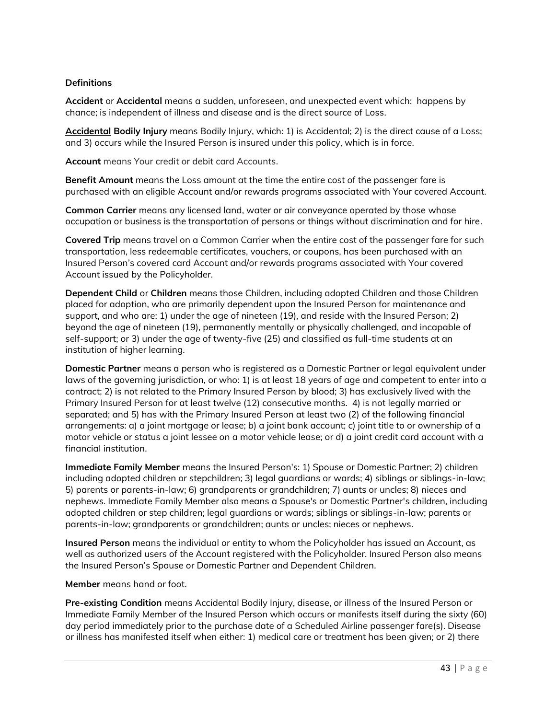# **Definitions**

**Accident** or **Accidental** means a sudden, unforeseen, and unexpected event which: happens by chance; is independent of illness and disease and is the direct source of Loss.

**Accidental Bodily Injury** means Bodily Injury, which: 1) is Accidental; 2) is the direct cause of a Loss; and 3) occurs while the Insured Person is insured under this policy, which is in force.

**Account** means Your credit or debit card Accounts.

**Benefit Amount** means the Loss amount at the time the entire cost of the passenger fare is purchased with an eligible Account and/or rewards programs associated with Your covered Account.

**Common Carrier** means any licensed land, water or air conveyance operated by those whose occupation or business is the transportation of persons or things without discrimination and for hire.

**Covered Trip** means travel on a Common Carrier when the entire cost of the passenger fare for such transportation, less redeemable certificates, vouchers, or coupons, has been purchased with an Insured Person's covered card Account and/or rewards programs associated with Your covered Account issued by the Policyholder.

**Dependent Child** or **Children** means those Children, including adopted Children and those Children placed for adoption, who are primarily dependent upon the Insured Person for maintenance and support, and who are: 1) under the age of nineteen (19), and reside with the Insured Person; 2) beyond the age of nineteen (19), permanently mentally or physically challenged, and incapable of self-support; or 3) under the age of twenty-five (25) and classified as full-time students at an institution of higher learning.

**Domestic Partner** means a person who is registered as a Domestic Partner or legal equivalent under laws of the governing jurisdiction, or who: 1) is at least 18 years of age and competent to enter into a contract; 2) is not related to the Primary Insured Person by blood; 3) has exclusively lived with the Primary Insured Person for at least twelve (12) consecutive months. 4) is not legally married or separated; and 5) has with the Primary Insured Person at least two (2) of the following financial arrangements: a) a joint mortgage or lease; b) a joint bank account; c) joint title to or ownership of a motor vehicle or status a joint lessee on a motor vehicle lease; or d) a joint credit card account with a financial institution.

**Immediate Family Member** means the Insured Person's: 1) Spouse or Domestic Partner; 2) children including adopted children or stepchildren; 3) legal guardians or wards; 4) siblings or siblings-in-law; 5) parents or parents-in-law; 6) grandparents or grandchildren; 7) aunts or uncles; 8) nieces and nephews. Immediate Family Member also means a Spouse's or Domestic Partner's children, including adopted children or step children; legal guardians or wards; siblings or siblings-in-law; parents or parents-in-law; grandparents or grandchildren; aunts or uncles; nieces or nephews.

**Insured Person** means the individual or entity to whom the Policyholder has issued an Account, as well as authorized users of the Account registered with the Policyholder. Insured Person also means the Insured Person's Spouse or Domestic Partner and Dependent Children.

**Member** means hand or foot.

**Pre-existing Condition** means Accidental Bodily Injury, disease, or illness of the Insured Person or Immediate Family Member of the Insured Person which occurs or manifests itself during the sixty (60) day period immediately prior to the purchase date of a Scheduled Airline passenger fare(s). Disease or illness has manifested itself when either: 1) medical care or treatment has been given; or 2) there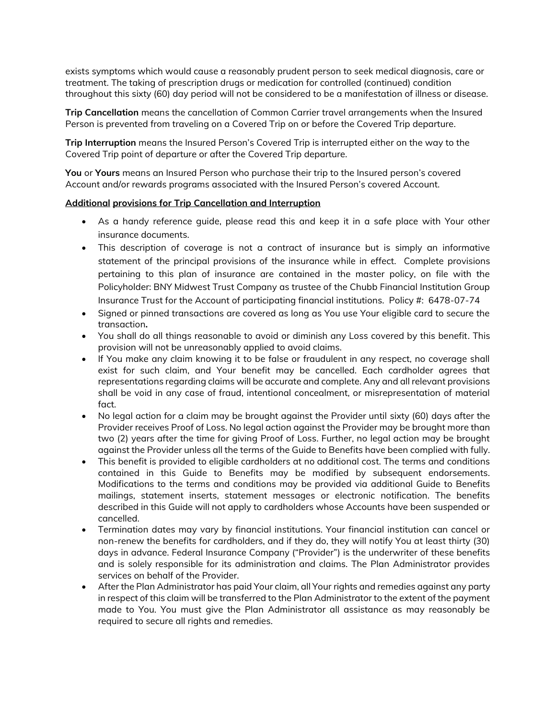exists symptoms which would cause a reasonably prudent person to seek medical diagnosis, care or treatment. The taking of prescription drugs or medication for controlled (continued) condition throughout this sixty (60) day period will not be considered to be a manifestation of illness or disease.

**Trip Cancellation** means the cancellation of Common Carrier travel arrangements when the Insured Person is prevented from traveling on a Covered Trip on or before the Covered Trip departure.

**Trip Interruption** means the Insured Person's Covered Trip is interrupted either on the way to the Covered Trip point of departure or after the Covered Trip departure.

**You** or **Yours** means an Insured Person who purchase their trip to the Insured person's covered Account and/or rewards programs associated with the Insured Person's covered Account.

### **Additional provisions for Trip Cancellation and Interruption**

- As a handy reference guide, please read this and keep it in a safe place with Your other insurance documents.
- This description of coverage is not a contract of insurance but is simply an informative statement of the principal provisions of the insurance while in effect. Complete provisions pertaining to this plan of insurance are contained in the master policy, on file with the Policyholder: BNY Midwest Trust Company as trustee of the Chubb Financial Institution Group Insurance Trust for the Account of participating financial institutions. Policy #: 6478-07-74
- Signed or pinned transactions are covered as long as You use Your eligible card to secure the transaction**.**
- You shall do all things reasonable to avoid or diminish any Loss covered by this benefit. This provision will not be unreasonably applied to avoid claims.
- If You make any claim knowing it to be false or fraudulent in any respect, no coverage shall exist for such claim, and Your benefit may be cancelled. Each cardholder agrees that representations regarding claims will be accurate and complete. Any and all relevant provisions shall be void in any case of fraud, intentional concealment, or misrepresentation of material fact.
- No legal action for a claim may be brought against the Provider until sixty (60) days after the Provider receives Proof of Loss. No legal action against the Provider may be brought more than two (2) years after the time for giving Proof of Loss. Further, no legal action may be brought against the Provider unless all the terms of the Guide to Benefits have been complied with fully.
- This benefit is provided to eligible cardholders at no additional cost. The terms and conditions contained in this Guide to Benefits may be modified by subsequent endorsements. Modifications to the terms and conditions may be provided via additional Guide to Benefits mailings, statement inserts, statement messages or electronic notification. The benefits described in this Guide will not apply to cardholders whose Accounts have been suspended or cancelled.
- Termination dates may vary by financial institutions. Your financial institution can cancel or non-renew the benefits for cardholders, and if they do, they will notify You at least thirty (30) days in advance. Federal Insurance Company ("Provider") is the underwriter of these benefits and is solely responsible for its administration and claims. The Plan Administrator provides services on behalf of the Provider.
- After the Plan Administrator has paid Your claim, all Your rights and remedies against any party in respect of this claim will be transferred to the Plan Administrator to the extent of the payment made to You. You must give the Plan Administrator all assistance as may reasonably be required to secure all rights and remedies.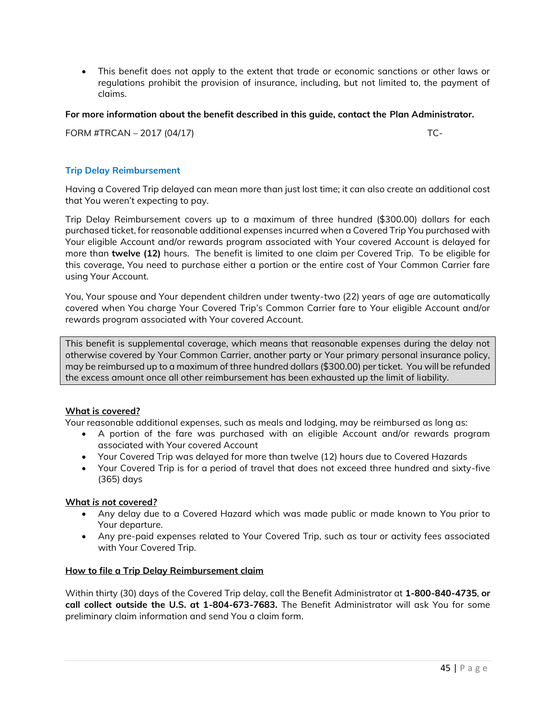• This benefit does not apply to the extent that trade or economic sanctions or other laws or regulations prohibit the provision of insurance, including, but not limited to, the payment of claims.

# **For more information about the benefit described in this guide, contact the Plan Administrator.**

FORM #TRCAN – 2017 (04/17) TC-

# **Trip Delay Reimbursement**

Having a Covered Trip delayed can mean more than just lost time; it can also create an additional cost that You weren't expecting to pay.

Trip Delay Reimbursement covers up to a maximum of three hundred (\$300.00) dollars for each purchased ticket, for reasonable additional expenses incurred when a Covered Trip You purchased with Your eligible Account and/or rewards program associated with Your covered Account is delayed for more than **twelve (12)** hours. The benefit is limited to one claim per Covered Trip. To be eligible for this coverage, You need to purchase either a portion or the entire cost of Your Common Carrier fare using Your Account.

You, Your spouse and Your dependent children under twenty-two (22) years of age are automatically covered when You charge Your Covered Trip's Common Carrier fare to Your eligible Account and/or rewards program associated with Your covered Account.

This benefit is supplemental coverage, which means that reasonable expenses during the delay not otherwise covered by Your Common Carrier, another party or Your primary personal insurance policy, may be reimbursed up to a maximum of three hundred dollars (\$300.00) per ticket. You will be refunded the excess amount once all other reimbursement has been exhausted up the limit of liability.

# **What is covered?**

Your reasonable additional expenses, such as meals and lodging, may be reimbursed as long as:

- A portion of the fare was purchased with an eligible Account and/or rewards program associated with Your covered Account
- Your Covered Trip was delayed for more than twelve (12) hours due to Covered Hazards
- Your Covered Trip is for a period of travel that does not exceed three hundred and sixty-five (365) days

#### **What** *is not* **covered***?*

- Any delay due to a Covered Hazard which was made public or made known to You prior to Your departure.
- Any pre-paid expenses related to Your Covered Trip, such as tour or activity fees associated with Your Covered Trip.

#### **How to file a Trip Delay Reimbursement claim**

Within thirty (30) days of the Covered Trip delay, call the Benefit Administrator at **1-800-840-4735**, **or call collect outside the U.S. at 1-804-673-7683.** The Benefit Administrator will ask You for some preliminary claim information and send You a claim form.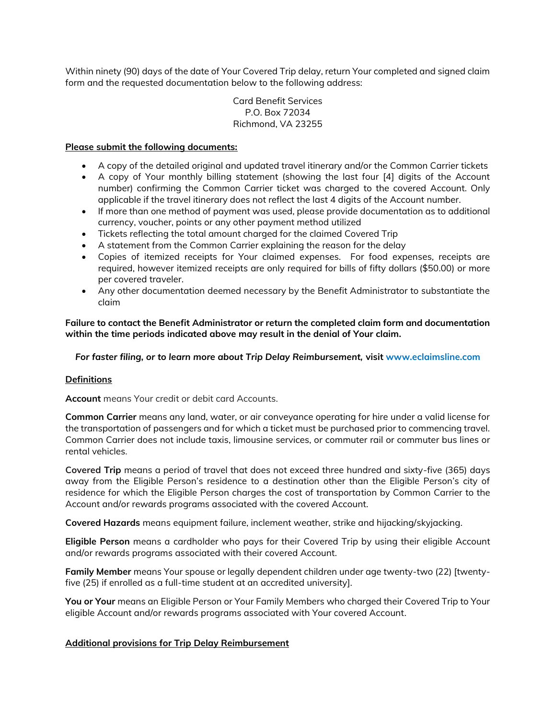Within ninety (90) days of the date of Your Covered Trip delay, return Your completed and signed claim form and the requested documentation below to the following address:

> Card Benefit Services P.O. Box 72034 Richmond, VA 23255

### **Please submit the following documents:**

- A copy of the detailed original and updated travel itinerary and/or the Common Carrier tickets
- A copy of Your monthly billing statement (showing the last four [4] digits of the Account number) confirming the Common Carrier ticket was charged to the covered Account. Only applicable if the travel itinerary does not reflect the last 4 digits of the Account number.
- If more than one method of payment was used, please provide documentation as to additional currency, voucher, points or any other payment method utilized
- Tickets reflecting the total amount charged for the claimed Covered Trip
- A statement from the Common Carrier explaining the reason for the delay
- Copies of itemized receipts for Your claimed expenses. For food expenses, receipts are required, however itemized receipts are only required for bills of fifty dollars (\$50.00) or more per covered traveler.
- Any other documentation deemed necessary by the Benefit Administrator to substantiate the claim

**Failure to contact the Benefit Administrator or return the completed claim form and documentation within the time periods indicated above may result in the denial of Your claim.**

### *For faster filing, or to learn more about Trip Delay Reimbursement,* **visit www.eclaimsline.com**

# **Definitions**

**Account** means Your credit or debit card Accounts.

**Common Carrier** means any land, water, or air conveyance operating for hire under a valid license for the transportation of passengers and for which a ticket must be purchased prior to commencing travel. Common Carrier does not include taxis, limousine services, or commuter rail or commuter bus lines or rental vehicles.

**Covered Trip** means a period of travel that does not exceed three hundred and sixty-five (365) days away from the Eligible Person's residence to a destination other than the Eligible Person's city of residence for which the Eligible Person charges the cost of transportation by Common Carrier to the Account and/or rewards programs associated with the covered Account.

**Covered Hazards** means equipment failure, inclement weather, strike and hijacking/skyjacking.

**Eligible Person** means a cardholder who pays for their Covered Trip by using their eligible Account and/or rewards programs associated with their covered Account.

**Family Member** means Your spouse or legally dependent children under age twenty-two (22) [twentyfive (25) if enrolled as a full-time student at an accredited university].

**You or Your** means an Eligible Person or Your Family Members who charged their Covered Trip to Your eligible Account and/or rewards programs associated with Your covered Account.

# **Additional provisions for Trip Delay Reimbursement**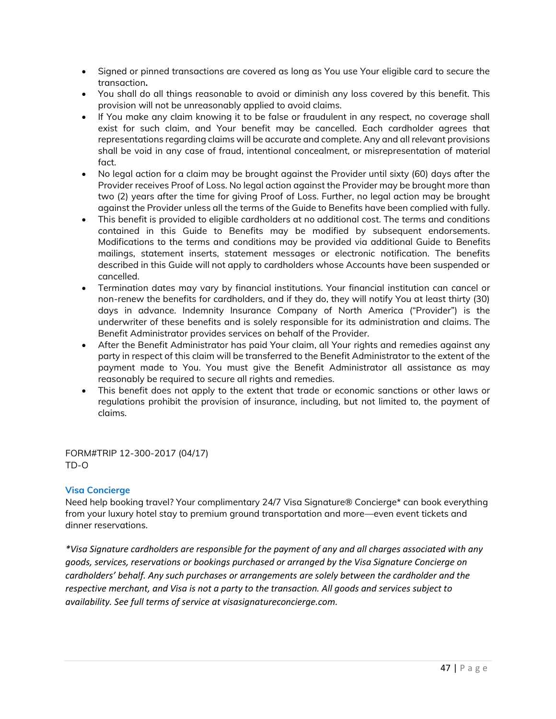- Signed or pinned transactions are covered as long as You use Your eligible card to secure the transaction**.**
- You shall do all things reasonable to avoid or diminish any loss covered by this benefit. This provision will not be unreasonably applied to avoid claims.
- If You make any claim knowing it to be false or fraudulent in any respect, no coverage shall exist for such claim, and Your benefit may be cancelled. Each cardholder agrees that representations regarding claims will be accurate and complete. Any and all relevant provisions shall be void in any case of fraud, intentional concealment, or misrepresentation of material fact.
- No legal action for a claim may be brought against the Provider until sixty (60) days after the Provider receives Proof of Loss. No legal action against the Provider may be brought more than two (2) years after the time for giving Proof of Loss. Further, no legal action may be brought against the Provider unless all the terms of the Guide to Benefits have been complied with fully.
- This benefit is provided to eligible cardholders at no additional cost. The terms and conditions contained in this Guide to Benefits may be modified by subsequent endorsements. Modifications to the terms and conditions may be provided via additional Guide to Benefits mailings, statement inserts, statement messages or electronic notification. The benefits described in this Guide will not apply to cardholders whose Accounts have been suspended or cancelled.
- Termination dates may vary by financial institutions. Your financial institution can cancel or non-renew the benefits for cardholders, and if they do, they will notify You at least thirty (30) days in advance. Indemnity Insurance Company of North America ("Provider") is the underwriter of these benefits and is solely responsible for its administration and claims. The Benefit Administrator provides services on behalf of the Provider.
- After the Benefit Administrator has paid Your claim, all Your rights and remedies against any party in respect of this claim will be transferred to the Benefit Administrator to the extent of the payment made to You. You must give the Benefit Administrator all assistance as may reasonably be required to secure all rights and remedies.
- This benefit does not apply to the extent that trade or economic sanctions or other laws or regulations prohibit the provision of insurance, including, but not limited to, the payment of claims.

FORM#TRIP 12-300-2017 (04/17) TD-O

# **Visa Concierge**

Need help booking travel? Your complimentary 24/7 Visa Signature® Concierge\* can book everything from your luxury hotel stay to premium ground transportation and more—even event tickets and dinner reservations.

*\*Visa Signature cardholders are responsible for the payment of any and all charges associated with any goods, services, reservations or bookings purchased or arranged by the Visa Signature Concierge on cardholders' behalf. Any such purchases or arrangements are solely between the cardholder and the respective merchant, and Visa is not a party to the transaction. All goods and services subject to availability. See full terms of service at visasignatureconcierge.com.*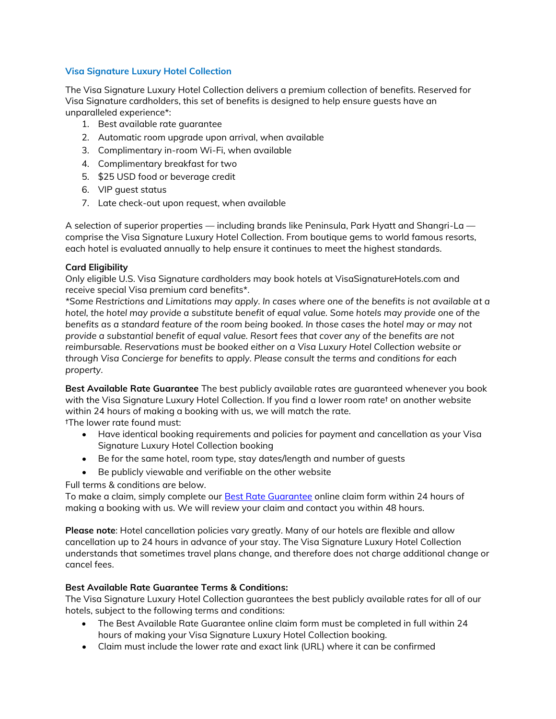# **Visa Signature Luxury Hotel Collection**

The Visa Signature Luxury Hotel Collection delivers a premium collection of benefits. Reserved for Visa Signature cardholders, this set of benefits is designed to help ensure guests have an unparalleled experience\*:

- 1. Best available rate guarantee
- 2. Automatic room upgrade upon arrival, when available
- 3. Complimentary in-room Wi-Fi, when available
- 4. Complimentary breakfast for two
- 5. \$25 USD food or beverage credit
- 6. VIP guest status
- 7. Late check-out upon request, when available

A selection of superior properties — including brands like Peninsula, Park Hyatt and Shangri-La comprise the Visa Signature Luxury Hotel Collection. From boutique gems to world famous resorts, each hotel is evaluated annually to help ensure it continues to meet the highest standards.

# **Card Eligibility**

Only eligible U.S. Visa Signature cardholders may book hotels at VisaSignatureHotels.com and receive special Visa premium card benefits\*.

*\*Some Restrictions and Limitations may apply. In cases where one of the benefits is not available at a hotel, the hotel may provide a substitute benefit of equal value. Some hotels may provide one of the benefits as a standard feature of the room being booked. In those cases the hotel may or may not provide a substantial benefit of equal value. Resort fees that cover any of the benefits are not reimbursable. Reservations must be booked either on a Visa Luxury Hotel Collection website or through Visa Concierge for benefits to apply. Please consult the terms and conditions for each property.*

**Best Available Rate Guarantee** The best publicly available rates are guaranteed whenever you book with the Visa Signature Luxury Hotel Collection. If you find a lower room rate† on another website within 24 hours of making a booking with us, we will match the rate.

†The lower rate found must:

- Have identical booking requirements and policies for payment and cancellation as your Visa Signature Luxury Hotel Collection booking
- Be for the same hotel, room type, stay dates/length and number of guests
- Be publicly viewable and verifiable on the other website

Full terms & conditions are below.

To make a claim, simply complete our [Best Rate Guarantee](https://www.visasignaturehotels.com/contact/rate) online claim form within 24 hours of making a booking with us. We will review your claim and contact you within 48 hours.

**Please note**: Hotel cancellation policies vary greatly. Many of our hotels are flexible and allow cancellation up to 24 hours in advance of your stay. The Visa Signature Luxury Hotel Collection understands that sometimes travel plans change, and therefore does not charge additional change or cancel fees.

# **Best Available Rate Guarantee Terms & Conditions:**

The Visa Signature Luxury Hotel Collection guarantees the best publicly available rates for all of our hotels, subject to the following terms and conditions:

- The Best Available Rate Guarantee online claim form must be completed in full within 24 hours of making your Visa Signature Luxury Hotel Collection booking.
- Claim must include the lower rate and exact link (URL) where it can be confirmed